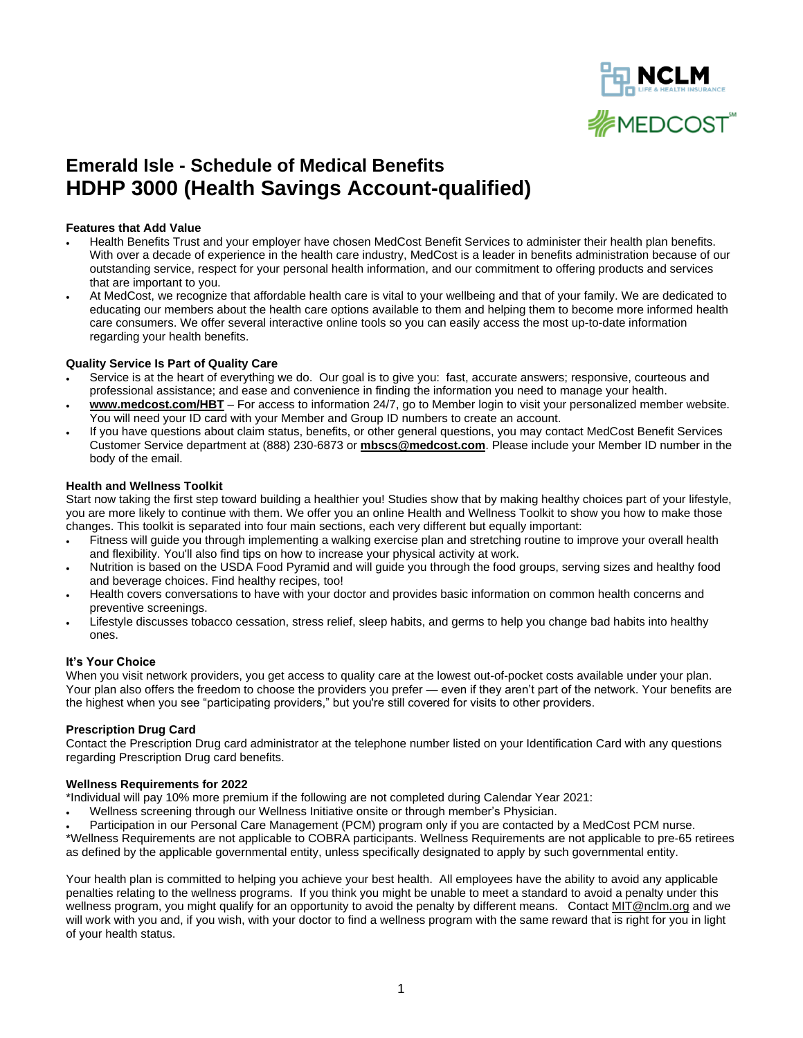

# **Emerald Isle - Schedule of Medical Benefits HDHP 3000 (Health Savings Account-qualified)**

#### **Features that Add Value**

- Health Benefits Trust and your employer have chosen MedCost Benefit Services to administer their health plan benefits. With over a decade of experience in the health care industry, MedCost is a leader in benefits administration because of our outstanding service, respect for your personal health information, and our commitment to offering products and services that are important to you.
- At MedCost, we recognize that affordable health care is vital to your wellbeing and that of your family. We are dedicated to educating our members about the health care options available to them and helping them to become more informed health care consumers. We offer several interactive online tools so you can easily access the most up-to-date information regarding your health benefits.

#### **Quality Service Is Part of Quality Care**

- Service is at the heart of everything we do. Our goal is to give you: fast, accurate answers; responsive, courteous and professional assistance; and ease and convenience in finding the information you need to manage your health.
- **www.medcost.com/HBT** For access to information 24/7, go t[o Member login](https://secure.healthx.com/mbshr.aspx) to visit your personalized member website. You will need your ID card with your Member and Group ID numbers to create an account.
- If you have questions about claim status, benefits, or other general questions, you may contact MedCost Benefit Services Customer Service department at (888) 230-6873 or **[mbscs@medcost.com](mailto:mbscs@medcost.com)**. Please include your Member ID number in the body of the email.

#### **Health and Wellness Toolkit**

Start now taking the first step toward building a healthier you! Studies show that by making healthy choices part of your lifestyle, you are more likely to continue with them. We offer you an online Health and Wellness Toolkit to show you how to make those changes. This toolkit is separated into four main sections, each very different but equally important:

- [Fitness](http://www.mbstpa.com/HW_Toolkit_Members_Fitness.htm) will guide you through implementing a walking exercise plan and stretching routine to improve your overall health and flexibility. You'll also find tips on how to increase your physical activity at work.
- [Nutrition](http://www.mbstpa.com/HW_Toolkit_Members_Nutrition.htm) is based on the USDA Food Pyramid and will guide you through the food groups, serving sizes and healthy food and beverage choices. Find healthy recipes, too!
- [Health](http://www.mbstpa.com/HW_Toolkit_Members_Health.htm) covers conversations to have with your doctor and provides basic information on common health concerns and preventive screenings.
- [Lifestyle](http://www.mbstpa.com/HW_Toolkit_Members_Lifestyle.htm) discusses tobacco cessation, stress relief, sleep habits, and germs to help you change bad habits into healthy ones.

#### **It's Your Choice**

When you visit network providers, you get access to quality care at the lowest out-of-pocket costs available under your plan. Your plan also offers the freedom to choose the providers you prefer — even if they aren't part of the network. Your benefits are the highest when you see "participating providers," but you're still covered for visits to other providers.

#### **Prescription Drug Card**

Contact the Prescription Drug card administrator at the telephone number listed on your Identification Card with any questions regarding Prescription Drug card benefits.

#### **Wellness Requirements for 2022**

\*Individual will pay 10% more premium if the following are not completed during Calendar Year 2021:

- Wellness screening through our Wellness Initiative onsite or through member's Physician.
- Participation in our Personal Care Management (PCM) program only if you are contacted by a MedCost PCM nurse.

\*Wellness Requirements are not applicable to COBRA participants. Wellness Requirements are not applicable to pre-65 retirees as defined by the applicable governmental entity, unless specifically designated to apply by such governmental entity.

Your health plan is committed to helping you achieve your best health. All employees have the ability to avoid any applicable penalties relating to the wellness programs. If you think you might be unable to meet a standard to avoid a penalty under this wellness program, you might qualify for an opportunity to avoid the penalty by different means. Contac[t MIT@nclm.org](mailto:MIT@nclm.org) and we will work with you and, if you wish, with your doctor to find a wellness program with the same reward that is right for you in light of your health status.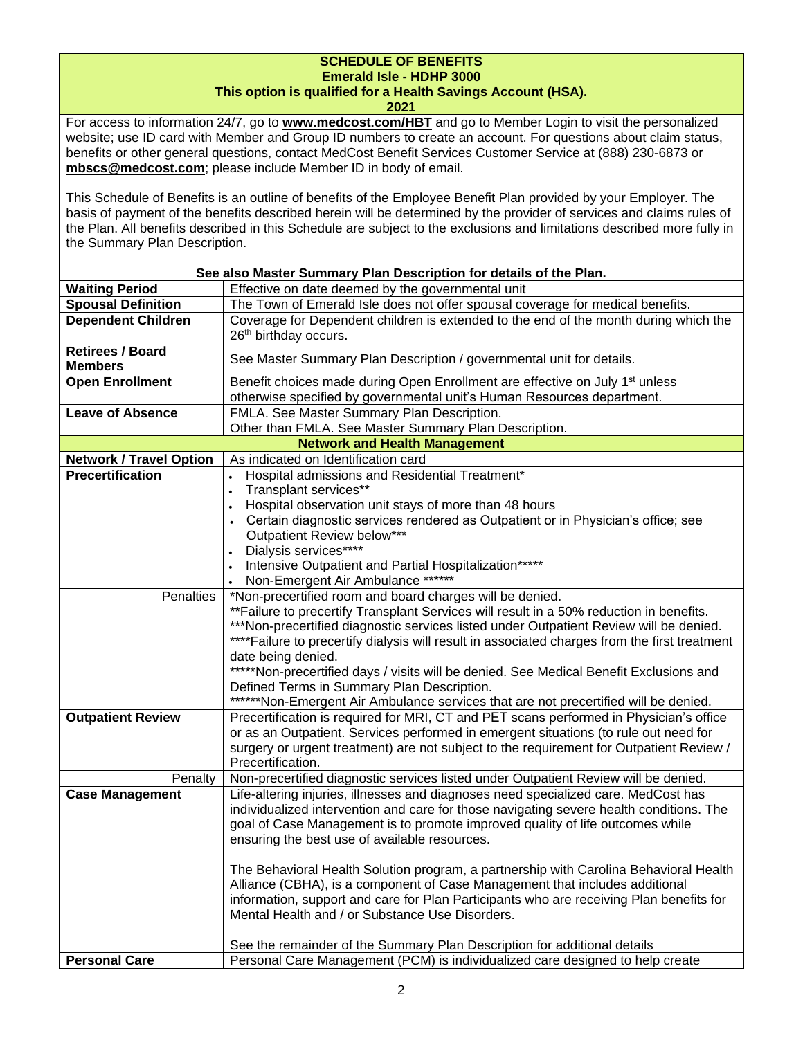## **SCHEDULE OF BENEFITS Emerald Isle - HDHP 3000**

### **This option is qualified for a Health Savings Account (HSA).**

**2021**

For access to information 24/7, go to **[www.medcost.com/HBT](http://www.medcost.com/)** and go to Member Login to visit the personalized website; use ID card with Member and Group ID numbers to create an account. For questions about claim status, benefits or other general questions, contact MedCost Benefit Services Customer Service at (888) 230-6873 or **mbscs@medcost.com**; please include Member ID in body of email.

This Schedule of Benefits is an outline of benefits of the Employee Benefit Plan provided by your Employer. The basis of payment of the benefits described herein will be determined by the provider of services and claims rules of the Plan. All benefits described in this Schedule are subject to the exclusions and limitations described more fully in the Summary Plan Description.

| <b>Waiting Period</b><br>Effective on date deemed by the governmental unit<br><b>Spousal Definition</b><br>The Town of Emerald Isle does not offer spousal coverage for medical benefits.<br><b>Dependent Children</b><br>Coverage for Dependent children is extended to the end of the month during which the<br>26 <sup>th</sup> birthday occurs.<br><b>Retirees / Board</b><br>See Master Summary Plan Description / governmental unit for details.<br><b>Members</b><br>Benefit choices made during Open Enrollment are effective on July 1 <sup>st</sup> unless<br><b>Open Enrollment</b><br>otherwise specified by governmental unit's Human Resources department.<br><b>Leave of Absence</b><br>FMLA. See Master Summary Plan Description.<br>Other than FMLA. See Master Summary Plan Description.<br><b>Network and Health Management</b><br>As indicated on Identification card<br><b>Network / Travel Option</b><br><b>Precertification</b><br>Hospital admissions and Residential Treatment*<br>$\bullet$<br>Transplant services**<br>Hospital observation unit stays of more than 48 hours<br>Certain diagnostic services rendered as Outpatient or in Physician's office; see<br>Outpatient Review below***<br>Dialysis services****<br>Intensive Outpatient and Partial Hospitalization*****<br>Non-Emergent Air Ambulance ******<br>Penalties<br>*Non-precertified room and board charges will be denied.<br>** Failure to precertify Transplant Services will result in a 50% reduction in benefits.<br>***Non-precertified diagnostic services listed under Outpatient Review will be denied.<br>**** Failure to precertify dialysis will result in associated charges from the first treatment<br>date being denied.<br>*****Non-precertified days / visits will be denied. See Medical Benefit Exclusions and<br>Defined Terms in Summary Plan Description.<br>******Non-Emergent Air Ambulance services that are not precertified will be denied.<br><b>Outpatient Review</b><br>Precertification is required for MRI, CT and PET scans performed in Physician's office<br>or as an Outpatient. Services performed in emergent situations (to rule out need for<br>surgery or urgent treatment) are not subject to the requirement for Outpatient Review /<br>Precertification.<br>Non-precertified diagnostic services listed under Outpatient Review will be denied.<br>Penalty<br><b>Case Management</b><br>Life-altering injuries, illnesses and diagnoses need specialized care. MedCost has<br>individualized intervention and care for those navigating severe health conditions. The<br>goal of Case Management is to promote improved quality of life outcomes while<br>ensuring the best use of available resources.<br>The Behavioral Health Solution program, a partnership with Carolina Behavioral Health<br>Alliance (CBHA), is a component of Case Management that includes additional<br>information, support and care for Plan Participants who are receiving Plan benefits for<br>Mental Health and / or Substance Use Disorders.<br>See the remainder of the Summary Plan Description for additional details | See also Master Summary Plan Description for details of the Plan. |                                                                               |  |
|-------------------------------------------------------------------------------------------------------------------------------------------------------------------------------------------------------------------------------------------------------------------------------------------------------------------------------------------------------------------------------------------------------------------------------------------------------------------------------------------------------------------------------------------------------------------------------------------------------------------------------------------------------------------------------------------------------------------------------------------------------------------------------------------------------------------------------------------------------------------------------------------------------------------------------------------------------------------------------------------------------------------------------------------------------------------------------------------------------------------------------------------------------------------------------------------------------------------------------------------------------------------------------------------------------------------------------------------------------------------------------------------------------------------------------------------------------------------------------------------------------------------------------------------------------------------------------------------------------------------------------------------------------------------------------------------------------------------------------------------------------------------------------------------------------------------------------------------------------------------------------------------------------------------------------------------------------------------------------------------------------------------------------------------------------------------------------------------------------------------------------------------------------------------------------------------------------------------------------------------------------------------------------------------------------------------------------------------------------------------------------------------------------------------------------------------------------------------------------------------------------------------------------------------------------------------------------------------------------------------------------------------------------------------------------------------------------------------------------------------------------------------------------------------------------------------------------------------------------------------------------------------------------------------------------------------------------------------------------------------------------------------------------------------------------------------------------------------------------------------------------------------------------|-------------------------------------------------------------------|-------------------------------------------------------------------------------|--|
|                                                                                                                                                                                                                                                                                                                                                                                                                                                                                                                                                                                                                                                                                                                                                                                                                                                                                                                                                                                                                                                                                                                                                                                                                                                                                                                                                                                                                                                                                                                                                                                                                                                                                                                                                                                                                                                                                                                                                                                                                                                                                                                                                                                                                                                                                                                                                                                                                                                                                                                                                                                                                                                                                                                                                                                                                                                                                                                                                                                                                                                                                                                                                       |                                                                   |                                                                               |  |
|                                                                                                                                                                                                                                                                                                                                                                                                                                                                                                                                                                                                                                                                                                                                                                                                                                                                                                                                                                                                                                                                                                                                                                                                                                                                                                                                                                                                                                                                                                                                                                                                                                                                                                                                                                                                                                                                                                                                                                                                                                                                                                                                                                                                                                                                                                                                                                                                                                                                                                                                                                                                                                                                                                                                                                                                                                                                                                                                                                                                                                                                                                                                                       |                                                                   |                                                                               |  |
|                                                                                                                                                                                                                                                                                                                                                                                                                                                                                                                                                                                                                                                                                                                                                                                                                                                                                                                                                                                                                                                                                                                                                                                                                                                                                                                                                                                                                                                                                                                                                                                                                                                                                                                                                                                                                                                                                                                                                                                                                                                                                                                                                                                                                                                                                                                                                                                                                                                                                                                                                                                                                                                                                                                                                                                                                                                                                                                                                                                                                                                                                                                                                       |                                                                   |                                                                               |  |
|                                                                                                                                                                                                                                                                                                                                                                                                                                                                                                                                                                                                                                                                                                                                                                                                                                                                                                                                                                                                                                                                                                                                                                                                                                                                                                                                                                                                                                                                                                                                                                                                                                                                                                                                                                                                                                                                                                                                                                                                                                                                                                                                                                                                                                                                                                                                                                                                                                                                                                                                                                                                                                                                                                                                                                                                                                                                                                                                                                                                                                                                                                                                                       |                                                                   |                                                                               |  |
|                                                                                                                                                                                                                                                                                                                                                                                                                                                                                                                                                                                                                                                                                                                                                                                                                                                                                                                                                                                                                                                                                                                                                                                                                                                                                                                                                                                                                                                                                                                                                                                                                                                                                                                                                                                                                                                                                                                                                                                                                                                                                                                                                                                                                                                                                                                                                                                                                                                                                                                                                                                                                                                                                                                                                                                                                                                                                                                                                                                                                                                                                                                                                       |                                                                   |                                                                               |  |
|                                                                                                                                                                                                                                                                                                                                                                                                                                                                                                                                                                                                                                                                                                                                                                                                                                                                                                                                                                                                                                                                                                                                                                                                                                                                                                                                                                                                                                                                                                                                                                                                                                                                                                                                                                                                                                                                                                                                                                                                                                                                                                                                                                                                                                                                                                                                                                                                                                                                                                                                                                                                                                                                                                                                                                                                                                                                                                                                                                                                                                                                                                                                                       |                                                                   |                                                                               |  |
|                                                                                                                                                                                                                                                                                                                                                                                                                                                                                                                                                                                                                                                                                                                                                                                                                                                                                                                                                                                                                                                                                                                                                                                                                                                                                                                                                                                                                                                                                                                                                                                                                                                                                                                                                                                                                                                                                                                                                                                                                                                                                                                                                                                                                                                                                                                                                                                                                                                                                                                                                                                                                                                                                                                                                                                                                                                                                                                                                                                                                                                                                                                                                       |                                                                   |                                                                               |  |
|                                                                                                                                                                                                                                                                                                                                                                                                                                                                                                                                                                                                                                                                                                                                                                                                                                                                                                                                                                                                                                                                                                                                                                                                                                                                                                                                                                                                                                                                                                                                                                                                                                                                                                                                                                                                                                                                                                                                                                                                                                                                                                                                                                                                                                                                                                                                                                                                                                                                                                                                                                                                                                                                                                                                                                                                                                                                                                                                                                                                                                                                                                                                                       |                                                                   |                                                                               |  |
|                                                                                                                                                                                                                                                                                                                                                                                                                                                                                                                                                                                                                                                                                                                                                                                                                                                                                                                                                                                                                                                                                                                                                                                                                                                                                                                                                                                                                                                                                                                                                                                                                                                                                                                                                                                                                                                                                                                                                                                                                                                                                                                                                                                                                                                                                                                                                                                                                                                                                                                                                                                                                                                                                                                                                                                                                                                                                                                                                                                                                                                                                                                                                       |                                                                   |                                                                               |  |
|                                                                                                                                                                                                                                                                                                                                                                                                                                                                                                                                                                                                                                                                                                                                                                                                                                                                                                                                                                                                                                                                                                                                                                                                                                                                                                                                                                                                                                                                                                                                                                                                                                                                                                                                                                                                                                                                                                                                                                                                                                                                                                                                                                                                                                                                                                                                                                                                                                                                                                                                                                                                                                                                                                                                                                                                                                                                                                                                                                                                                                                                                                                                                       |                                                                   |                                                                               |  |
|                                                                                                                                                                                                                                                                                                                                                                                                                                                                                                                                                                                                                                                                                                                                                                                                                                                                                                                                                                                                                                                                                                                                                                                                                                                                                                                                                                                                                                                                                                                                                                                                                                                                                                                                                                                                                                                                                                                                                                                                                                                                                                                                                                                                                                                                                                                                                                                                                                                                                                                                                                                                                                                                                                                                                                                                                                                                                                                                                                                                                                                                                                                                                       |                                                                   |                                                                               |  |
|                                                                                                                                                                                                                                                                                                                                                                                                                                                                                                                                                                                                                                                                                                                                                                                                                                                                                                                                                                                                                                                                                                                                                                                                                                                                                                                                                                                                                                                                                                                                                                                                                                                                                                                                                                                                                                                                                                                                                                                                                                                                                                                                                                                                                                                                                                                                                                                                                                                                                                                                                                                                                                                                                                                                                                                                                                                                                                                                                                                                                                                                                                                                                       |                                                                   |                                                                               |  |
|                                                                                                                                                                                                                                                                                                                                                                                                                                                                                                                                                                                                                                                                                                                                                                                                                                                                                                                                                                                                                                                                                                                                                                                                                                                                                                                                                                                                                                                                                                                                                                                                                                                                                                                                                                                                                                                                                                                                                                                                                                                                                                                                                                                                                                                                                                                                                                                                                                                                                                                                                                                                                                                                                                                                                                                                                                                                                                                                                                                                                                                                                                                                                       |                                                                   |                                                                               |  |
|                                                                                                                                                                                                                                                                                                                                                                                                                                                                                                                                                                                                                                                                                                                                                                                                                                                                                                                                                                                                                                                                                                                                                                                                                                                                                                                                                                                                                                                                                                                                                                                                                                                                                                                                                                                                                                                                                                                                                                                                                                                                                                                                                                                                                                                                                                                                                                                                                                                                                                                                                                                                                                                                                                                                                                                                                                                                                                                                                                                                                                                                                                                                                       |                                                                   |                                                                               |  |
|                                                                                                                                                                                                                                                                                                                                                                                                                                                                                                                                                                                                                                                                                                                                                                                                                                                                                                                                                                                                                                                                                                                                                                                                                                                                                                                                                                                                                                                                                                                                                                                                                                                                                                                                                                                                                                                                                                                                                                                                                                                                                                                                                                                                                                                                                                                                                                                                                                                                                                                                                                                                                                                                                                                                                                                                                                                                                                                                                                                                                                                                                                                                                       |                                                                   |                                                                               |  |
|                                                                                                                                                                                                                                                                                                                                                                                                                                                                                                                                                                                                                                                                                                                                                                                                                                                                                                                                                                                                                                                                                                                                                                                                                                                                                                                                                                                                                                                                                                                                                                                                                                                                                                                                                                                                                                                                                                                                                                                                                                                                                                                                                                                                                                                                                                                                                                                                                                                                                                                                                                                                                                                                                                                                                                                                                                                                                                                                                                                                                                                                                                                                                       |                                                                   |                                                                               |  |
|                                                                                                                                                                                                                                                                                                                                                                                                                                                                                                                                                                                                                                                                                                                                                                                                                                                                                                                                                                                                                                                                                                                                                                                                                                                                                                                                                                                                                                                                                                                                                                                                                                                                                                                                                                                                                                                                                                                                                                                                                                                                                                                                                                                                                                                                                                                                                                                                                                                                                                                                                                                                                                                                                                                                                                                                                                                                                                                                                                                                                                                                                                                                                       |                                                                   |                                                                               |  |
|                                                                                                                                                                                                                                                                                                                                                                                                                                                                                                                                                                                                                                                                                                                                                                                                                                                                                                                                                                                                                                                                                                                                                                                                                                                                                                                                                                                                                                                                                                                                                                                                                                                                                                                                                                                                                                                                                                                                                                                                                                                                                                                                                                                                                                                                                                                                                                                                                                                                                                                                                                                                                                                                                                                                                                                                                                                                                                                                                                                                                                                                                                                                                       |                                                                   |                                                                               |  |
|                                                                                                                                                                                                                                                                                                                                                                                                                                                                                                                                                                                                                                                                                                                                                                                                                                                                                                                                                                                                                                                                                                                                                                                                                                                                                                                                                                                                                                                                                                                                                                                                                                                                                                                                                                                                                                                                                                                                                                                                                                                                                                                                                                                                                                                                                                                                                                                                                                                                                                                                                                                                                                                                                                                                                                                                                                                                                                                                                                                                                                                                                                                                                       |                                                                   |                                                                               |  |
|                                                                                                                                                                                                                                                                                                                                                                                                                                                                                                                                                                                                                                                                                                                                                                                                                                                                                                                                                                                                                                                                                                                                                                                                                                                                                                                                                                                                                                                                                                                                                                                                                                                                                                                                                                                                                                                                                                                                                                                                                                                                                                                                                                                                                                                                                                                                                                                                                                                                                                                                                                                                                                                                                                                                                                                                                                                                                                                                                                                                                                                                                                                                                       |                                                                   |                                                                               |  |
|                                                                                                                                                                                                                                                                                                                                                                                                                                                                                                                                                                                                                                                                                                                                                                                                                                                                                                                                                                                                                                                                                                                                                                                                                                                                                                                                                                                                                                                                                                                                                                                                                                                                                                                                                                                                                                                                                                                                                                                                                                                                                                                                                                                                                                                                                                                                                                                                                                                                                                                                                                                                                                                                                                                                                                                                                                                                                                                                                                                                                                                                                                                                                       |                                                                   |                                                                               |  |
|                                                                                                                                                                                                                                                                                                                                                                                                                                                                                                                                                                                                                                                                                                                                                                                                                                                                                                                                                                                                                                                                                                                                                                                                                                                                                                                                                                                                                                                                                                                                                                                                                                                                                                                                                                                                                                                                                                                                                                                                                                                                                                                                                                                                                                                                                                                                                                                                                                                                                                                                                                                                                                                                                                                                                                                                                                                                                                                                                                                                                                                                                                                                                       |                                                                   |                                                                               |  |
|                                                                                                                                                                                                                                                                                                                                                                                                                                                                                                                                                                                                                                                                                                                                                                                                                                                                                                                                                                                                                                                                                                                                                                                                                                                                                                                                                                                                                                                                                                                                                                                                                                                                                                                                                                                                                                                                                                                                                                                                                                                                                                                                                                                                                                                                                                                                                                                                                                                                                                                                                                                                                                                                                                                                                                                                                                                                                                                                                                                                                                                                                                                                                       |                                                                   |                                                                               |  |
|                                                                                                                                                                                                                                                                                                                                                                                                                                                                                                                                                                                                                                                                                                                                                                                                                                                                                                                                                                                                                                                                                                                                                                                                                                                                                                                                                                                                                                                                                                                                                                                                                                                                                                                                                                                                                                                                                                                                                                                                                                                                                                                                                                                                                                                                                                                                                                                                                                                                                                                                                                                                                                                                                                                                                                                                                                                                                                                                                                                                                                                                                                                                                       |                                                                   |                                                                               |  |
|                                                                                                                                                                                                                                                                                                                                                                                                                                                                                                                                                                                                                                                                                                                                                                                                                                                                                                                                                                                                                                                                                                                                                                                                                                                                                                                                                                                                                                                                                                                                                                                                                                                                                                                                                                                                                                                                                                                                                                                                                                                                                                                                                                                                                                                                                                                                                                                                                                                                                                                                                                                                                                                                                                                                                                                                                                                                                                                                                                                                                                                                                                                                                       |                                                                   |                                                                               |  |
|                                                                                                                                                                                                                                                                                                                                                                                                                                                                                                                                                                                                                                                                                                                                                                                                                                                                                                                                                                                                                                                                                                                                                                                                                                                                                                                                                                                                                                                                                                                                                                                                                                                                                                                                                                                                                                                                                                                                                                                                                                                                                                                                                                                                                                                                                                                                                                                                                                                                                                                                                                                                                                                                                                                                                                                                                                                                                                                                                                                                                                                                                                                                                       |                                                                   |                                                                               |  |
|                                                                                                                                                                                                                                                                                                                                                                                                                                                                                                                                                                                                                                                                                                                                                                                                                                                                                                                                                                                                                                                                                                                                                                                                                                                                                                                                                                                                                                                                                                                                                                                                                                                                                                                                                                                                                                                                                                                                                                                                                                                                                                                                                                                                                                                                                                                                                                                                                                                                                                                                                                                                                                                                                                                                                                                                                                                                                                                                                                                                                                                                                                                                                       |                                                                   |                                                                               |  |
|                                                                                                                                                                                                                                                                                                                                                                                                                                                                                                                                                                                                                                                                                                                                                                                                                                                                                                                                                                                                                                                                                                                                                                                                                                                                                                                                                                                                                                                                                                                                                                                                                                                                                                                                                                                                                                                                                                                                                                                                                                                                                                                                                                                                                                                                                                                                                                                                                                                                                                                                                                                                                                                                                                                                                                                                                                                                                                                                                                                                                                                                                                                                                       |                                                                   |                                                                               |  |
|                                                                                                                                                                                                                                                                                                                                                                                                                                                                                                                                                                                                                                                                                                                                                                                                                                                                                                                                                                                                                                                                                                                                                                                                                                                                                                                                                                                                                                                                                                                                                                                                                                                                                                                                                                                                                                                                                                                                                                                                                                                                                                                                                                                                                                                                                                                                                                                                                                                                                                                                                                                                                                                                                                                                                                                                                                                                                                                                                                                                                                                                                                                                                       |                                                                   |                                                                               |  |
|                                                                                                                                                                                                                                                                                                                                                                                                                                                                                                                                                                                                                                                                                                                                                                                                                                                                                                                                                                                                                                                                                                                                                                                                                                                                                                                                                                                                                                                                                                                                                                                                                                                                                                                                                                                                                                                                                                                                                                                                                                                                                                                                                                                                                                                                                                                                                                                                                                                                                                                                                                                                                                                                                                                                                                                                                                                                                                                                                                                                                                                                                                                                                       |                                                                   |                                                                               |  |
|                                                                                                                                                                                                                                                                                                                                                                                                                                                                                                                                                                                                                                                                                                                                                                                                                                                                                                                                                                                                                                                                                                                                                                                                                                                                                                                                                                                                                                                                                                                                                                                                                                                                                                                                                                                                                                                                                                                                                                                                                                                                                                                                                                                                                                                                                                                                                                                                                                                                                                                                                                                                                                                                                                                                                                                                                                                                                                                                                                                                                                                                                                                                                       |                                                                   |                                                                               |  |
|                                                                                                                                                                                                                                                                                                                                                                                                                                                                                                                                                                                                                                                                                                                                                                                                                                                                                                                                                                                                                                                                                                                                                                                                                                                                                                                                                                                                                                                                                                                                                                                                                                                                                                                                                                                                                                                                                                                                                                                                                                                                                                                                                                                                                                                                                                                                                                                                                                                                                                                                                                                                                                                                                                                                                                                                                                                                                                                                                                                                                                                                                                                                                       |                                                                   |                                                                               |  |
|                                                                                                                                                                                                                                                                                                                                                                                                                                                                                                                                                                                                                                                                                                                                                                                                                                                                                                                                                                                                                                                                                                                                                                                                                                                                                                                                                                                                                                                                                                                                                                                                                                                                                                                                                                                                                                                                                                                                                                                                                                                                                                                                                                                                                                                                                                                                                                                                                                                                                                                                                                                                                                                                                                                                                                                                                                                                                                                                                                                                                                                                                                                                                       |                                                                   |                                                                               |  |
|                                                                                                                                                                                                                                                                                                                                                                                                                                                                                                                                                                                                                                                                                                                                                                                                                                                                                                                                                                                                                                                                                                                                                                                                                                                                                                                                                                                                                                                                                                                                                                                                                                                                                                                                                                                                                                                                                                                                                                                                                                                                                                                                                                                                                                                                                                                                                                                                                                                                                                                                                                                                                                                                                                                                                                                                                                                                                                                                                                                                                                                                                                                                                       |                                                                   |                                                                               |  |
|                                                                                                                                                                                                                                                                                                                                                                                                                                                                                                                                                                                                                                                                                                                                                                                                                                                                                                                                                                                                                                                                                                                                                                                                                                                                                                                                                                                                                                                                                                                                                                                                                                                                                                                                                                                                                                                                                                                                                                                                                                                                                                                                                                                                                                                                                                                                                                                                                                                                                                                                                                                                                                                                                                                                                                                                                                                                                                                                                                                                                                                                                                                                                       |                                                                   |                                                                               |  |
|                                                                                                                                                                                                                                                                                                                                                                                                                                                                                                                                                                                                                                                                                                                                                                                                                                                                                                                                                                                                                                                                                                                                                                                                                                                                                                                                                                                                                                                                                                                                                                                                                                                                                                                                                                                                                                                                                                                                                                                                                                                                                                                                                                                                                                                                                                                                                                                                                                                                                                                                                                                                                                                                                                                                                                                                                                                                                                                                                                                                                                                                                                                                                       |                                                                   |                                                                               |  |
|                                                                                                                                                                                                                                                                                                                                                                                                                                                                                                                                                                                                                                                                                                                                                                                                                                                                                                                                                                                                                                                                                                                                                                                                                                                                                                                                                                                                                                                                                                                                                                                                                                                                                                                                                                                                                                                                                                                                                                                                                                                                                                                                                                                                                                                                                                                                                                                                                                                                                                                                                                                                                                                                                                                                                                                                                                                                                                                                                                                                                                                                                                                                                       |                                                                   |                                                                               |  |
|                                                                                                                                                                                                                                                                                                                                                                                                                                                                                                                                                                                                                                                                                                                                                                                                                                                                                                                                                                                                                                                                                                                                                                                                                                                                                                                                                                                                                                                                                                                                                                                                                                                                                                                                                                                                                                                                                                                                                                                                                                                                                                                                                                                                                                                                                                                                                                                                                                                                                                                                                                                                                                                                                                                                                                                                                                                                                                                                                                                                                                                                                                                                                       |                                                                   |                                                                               |  |
|                                                                                                                                                                                                                                                                                                                                                                                                                                                                                                                                                                                                                                                                                                                                                                                                                                                                                                                                                                                                                                                                                                                                                                                                                                                                                                                                                                                                                                                                                                                                                                                                                                                                                                                                                                                                                                                                                                                                                                                                                                                                                                                                                                                                                                                                                                                                                                                                                                                                                                                                                                                                                                                                                                                                                                                                                                                                                                                                                                                                                                                                                                                                                       |                                                                   |                                                                               |  |
|                                                                                                                                                                                                                                                                                                                                                                                                                                                                                                                                                                                                                                                                                                                                                                                                                                                                                                                                                                                                                                                                                                                                                                                                                                                                                                                                                                                                                                                                                                                                                                                                                                                                                                                                                                                                                                                                                                                                                                                                                                                                                                                                                                                                                                                                                                                                                                                                                                                                                                                                                                                                                                                                                                                                                                                                                                                                                                                                                                                                                                                                                                                                                       |                                                                   |                                                                               |  |
|                                                                                                                                                                                                                                                                                                                                                                                                                                                                                                                                                                                                                                                                                                                                                                                                                                                                                                                                                                                                                                                                                                                                                                                                                                                                                                                                                                                                                                                                                                                                                                                                                                                                                                                                                                                                                                                                                                                                                                                                                                                                                                                                                                                                                                                                                                                                                                                                                                                                                                                                                                                                                                                                                                                                                                                                                                                                                                                                                                                                                                                                                                                                                       |                                                                   |                                                                               |  |
|                                                                                                                                                                                                                                                                                                                                                                                                                                                                                                                                                                                                                                                                                                                                                                                                                                                                                                                                                                                                                                                                                                                                                                                                                                                                                                                                                                                                                                                                                                                                                                                                                                                                                                                                                                                                                                                                                                                                                                                                                                                                                                                                                                                                                                                                                                                                                                                                                                                                                                                                                                                                                                                                                                                                                                                                                                                                                                                                                                                                                                                                                                                                                       |                                                                   |                                                                               |  |
|                                                                                                                                                                                                                                                                                                                                                                                                                                                                                                                                                                                                                                                                                                                                                                                                                                                                                                                                                                                                                                                                                                                                                                                                                                                                                                                                                                                                                                                                                                                                                                                                                                                                                                                                                                                                                                                                                                                                                                                                                                                                                                                                                                                                                                                                                                                                                                                                                                                                                                                                                                                                                                                                                                                                                                                                                                                                                                                                                                                                                                                                                                                                                       |                                                                   |                                                                               |  |
|                                                                                                                                                                                                                                                                                                                                                                                                                                                                                                                                                                                                                                                                                                                                                                                                                                                                                                                                                                                                                                                                                                                                                                                                                                                                                                                                                                                                                                                                                                                                                                                                                                                                                                                                                                                                                                                                                                                                                                                                                                                                                                                                                                                                                                                                                                                                                                                                                                                                                                                                                                                                                                                                                                                                                                                                                                                                                                                                                                                                                                                                                                                                                       |                                                                   |                                                                               |  |
|                                                                                                                                                                                                                                                                                                                                                                                                                                                                                                                                                                                                                                                                                                                                                                                                                                                                                                                                                                                                                                                                                                                                                                                                                                                                                                                                                                                                                                                                                                                                                                                                                                                                                                                                                                                                                                                                                                                                                                                                                                                                                                                                                                                                                                                                                                                                                                                                                                                                                                                                                                                                                                                                                                                                                                                                                                                                                                                                                                                                                                                                                                                                                       |                                                                   |                                                                               |  |
|                                                                                                                                                                                                                                                                                                                                                                                                                                                                                                                                                                                                                                                                                                                                                                                                                                                                                                                                                                                                                                                                                                                                                                                                                                                                                                                                                                                                                                                                                                                                                                                                                                                                                                                                                                                                                                                                                                                                                                                                                                                                                                                                                                                                                                                                                                                                                                                                                                                                                                                                                                                                                                                                                                                                                                                                                                                                                                                                                                                                                                                                                                                                                       | <b>Personal Care</b>                                              | Personal Care Management (PCM) is individualized care designed to help create |  |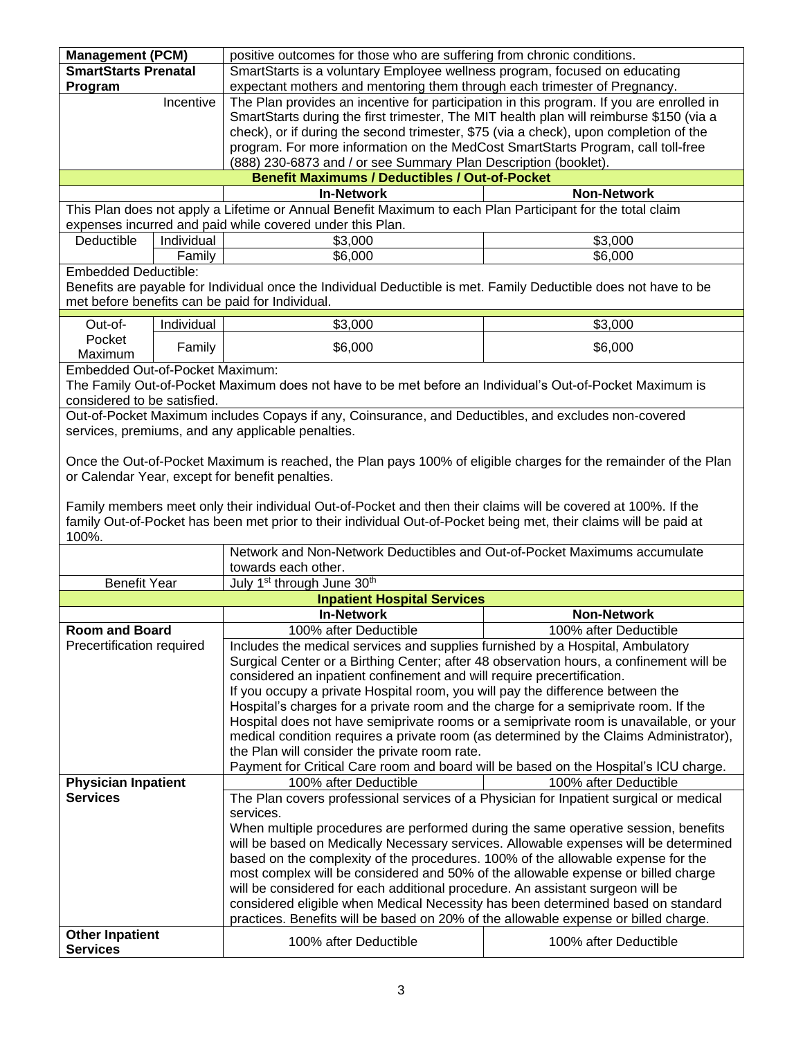| <b>Management (PCM)</b>         |                                                                                      | positive outcomes for those who are suffering from chronic conditions.                                            |                       |
|---------------------------------|--------------------------------------------------------------------------------------|-------------------------------------------------------------------------------------------------------------------|-----------------------|
| <b>SmartStarts Prenatal</b>     |                                                                                      | SmartStarts is a voluntary Employee wellness program, focused on educating                                        |                       |
| Program                         |                                                                                      | expectant mothers and mentoring them through each trimester of Pregnancy.                                         |                       |
|                                 | Incentive                                                                            | The Plan provides an incentive for participation in this program. If you are enrolled in                          |                       |
|                                 |                                                                                      | SmartStarts during the first trimester, The MIT health plan will reimburse \$150 (via a                           |                       |
|                                 |                                                                                      | check), or if during the second trimester, \$75 (via a check), upon completion of the                             |                       |
|                                 |                                                                                      |                                                                                                                   |                       |
|                                 |                                                                                      | program. For more information on the MedCost SmartStarts Program, call toll-free                                  |                       |
|                                 |                                                                                      | (888) 230-6873 and / or see Summary Plan Description (booklet).                                                   |                       |
|                                 |                                                                                      | <b>Benefit Maximums / Deductibles / Out-of-Pocket</b>                                                             |                       |
|                                 |                                                                                      | <b>In-Network</b>                                                                                                 | <b>Non-Network</b>    |
|                                 |                                                                                      | This Plan does not apply a Lifetime or Annual Benefit Maximum to each Plan Participant for the total claim        |                       |
|                                 |                                                                                      | expenses incurred and paid while covered under this Plan.                                                         |                       |
| Deductible                      | Individual                                                                           | \$3,000                                                                                                           | \$3,000               |
|                                 | Family                                                                               | \$6,000                                                                                                           | \$6,000               |
| <b>Embedded Deductible:</b>     |                                                                                      |                                                                                                                   |                       |
|                                 |                                                                                      | Benefits are payable for Individual once the Individual Deductible is met. Family Deductible does not have to be  |                       |
|                                 |                                                                                      | met before benefits can be paid for Individual.                                                                   |                       |
|                                 |                                                                                      |                                                                                                                   |                       |
| Out-of-                         | Individual                                                                           | \$3,000                                                                                                           | \$3,000               |
| Pocket                          | Family                                                                               | \$6,000                                                                                                           | \$6,000               |
| Maximum                         |                                                                                      |                                                                                                                   |                       |
| Embedded Out-of-Pocket Maximum: |                                                                                      |                                                                                                                   |                       |
|                                 |                                                                                      | The Family Out-of-Pocket Maximum does not have to be met before an Individual's Out-of-Pocket Maximum is          |                       |
| considered to be satisfied.     |                                                                                      |                                                                                                                   |                       |
|                                 |                                                                                      | Out-of-Pocket Maximum includes Copays if any, Coinsurance, and Deductibles, and excludes non-covered              |                       |
|                                 |                                                                                      | services, premiums, and any applicable penalties.                                                                 |                       |
|                                 |                                                                                      |                                                                                                                   |                       |
|                                 |                                                                                      | Once the Out-of-Pocket Maximum is reached, the Plan pays 100% of eligible charges for the remainder of the Plan   |                       |
|                                 |                                                                                      | or Calendar Year, except for benefit penalties.                                                                   |                       |
|                                 |                                                                                      |                                                                                                                   |                       |
|                                 |                                                                                      | Family members meet only their individual Out-of-Pocket and then their claims will be covered at 100%. If the     |                       |
|                                 |                                                                                      | family Out-of-Pocket has been met prior to their individual Out-of-Pocket being met, their claims will be paid at |                       |
| 100%.                           |                                                                                      |                                                                                                                   |                       |
|                                 |                                                                                      | Network and Non-Network Deductibles and Out-of-Pocket Maximums accumulate                                         |                       |
|                                 |                                                                                      | towards each other.                                                                                               |                       |
| <b>Benefit Year</b>             |                                                                                      | July 1 <sup>st</sup> through June 30 <sup>th</sup>                                                                |                       |
|                                 |                                                                                      | <b>Inpatient Hospital Services</b>                                                                                |                       |
|                                 |                                                                                      | <b>In-Network</b>                                                                                                 |                       |
|                                 |                                                                                      |                                                                                                                   | <b>Non-Network</b>    |
| Room and Board                  |                                                                                      | 100% after Deductible                                                                                             | 100% after Deductible |
| Precertification required       |                                                                                      | Includes the medical services and supplies furnished by a Hospital, Ambulatory                                    |                       |
|                                 |                                                                                      | Surgical Center or a Birthing Center; after 48 observation hours, a confinement will be                           |                       |
|                                 |                                                                                      | considered an inpatient confinement and will require precertification.                                            |                       |
|                                 |                                                                                      | If you occupy a private Hospital room, you will pay the difference between the                                    |                       |
|                                 |                                                                                      | Hospital's charges for a private room and the charge for a semiprivate room. If the                               |                       |
|                                 |                                                                                      | Hospital does not have semiprivate rooms or a semiprivate room is unavailable, or your                            |                       |
|                                 |                                                                                      | medical condition requires a private room (as determined by the Claims Administrator),                            |                       |
|                                 |                                                                                      | the Plan will consider the private room rate.                                                                     |                       |
|                                 | Payment for Critical Care room and board will be based on the Hospital's ICU charge. |                                                                                                                   |                       |
| <b>Physician Inpatient</b>      |                                                                                      | 100% after Deductible                                                                                             | 100% after Deductible |
| <b>Services</b>                 |                                                                                      | The Plan covers professional services of a Physician for Inpatient surgical or medical                            |                       |
|                                 |                                                                                      | services.                                                                                                         |                       |
|                                 |                                                                                      | When multiple procedures are performed during the same operative session, benefits                                |                       |
|                                 |                                                                                      | will be based on Medically Necessary services. Allowable expenses will be determined                              |                       |
|                                 |                                                                                      |                                                                                                                   |                       |
|                                 |                                                                                      | based on the complexity of the procedures. 100% of the allowable expense for the                                  |                       |
|                                 |                                                                                      | most complex will be considered and 50% of the allowable expense or billed charge                                 |                       |
|                                 | will be considered for each additional procedure. An assistant surgeon will be       |                                                                                                                   |                       |
|                                 | considered eligible when Medical Necessity has been determined based on standard     |                                                                                                                   |                       |
|                                 |                                                                                      | practices. Benefits will be based on 20% of the allowable expense or billed charge.                               |                       |
| <b>Other Inpatient</b>          |                                                                                      | 100% after Deductible                                                                                             | 100% after Deductible |
| <b>Services</b>                 |                                                                                      |                                                                                                                   |                       |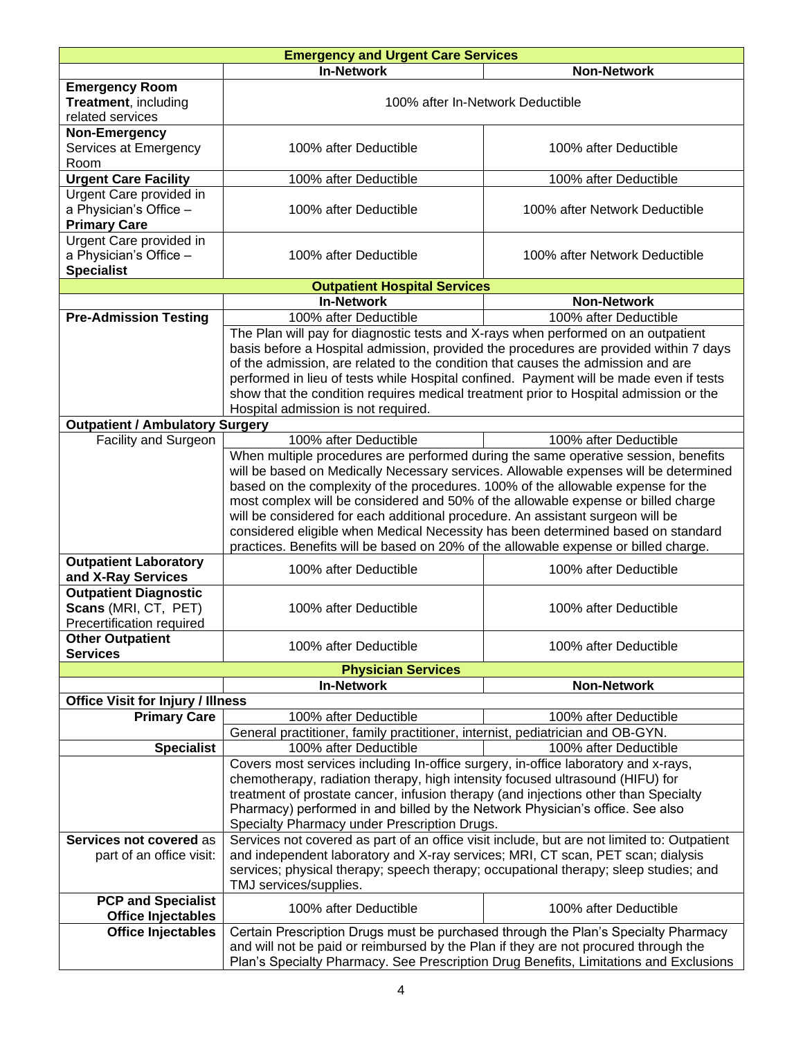| <b>Emergency and Urgent Care Services</b>         |                                                                                                                                                                              |                                  |
|---------------------------------------------------|------------------------------------------------------------------------------------------------------------------------------------------------------------------------------|----------------------------------|
|                                                   | <b>In-Network</b>                                                                                                                                                            | <b>Non-Network</b>               |
| <b>Emergency Room</b>                             |                                                                                                                                                                              |                                  |
| Treatment, including                              |                                                                                                                                                                              | 100% after In-Network Deductible |
| related services                                  |                                                                                                                                                                              |                                  |
| Non-Emergency                                     |                                                                                                                                                                              |                                  |
| Services at Emergency<br>Room                     | 100% after Deductible                                                                                                                                                        | 100% after Deductible            |
| <b>Urgent Care Facility</b>                       | 100% after Deductible                                                                                                                                                        | 100% after Deductible            |
| Urgent Care provided in                           |                                                                                                                                                                              |                                  |
| a Physician's Office -                            | 100% after Deductible                                                                                                                                                        | 100% after Network Deductible    |
| <b>Primary Care</b>                               |                                                                                                                                                                              |                                  |
| Urgent Care provided in                           |                                                                                                                                                                              |                                  |
| a Physician's Office -                            | 100% after Deductible                                                                                                                                                        | 100% after Network Deductible    |
| <b>Specialist</b>                                 |                                                                                                                                                                              |                                  |
|                                                   | <b>Outpatient Hospital Services</b>                                                                                                                                          |                                  |
|                                                   | <b>In-Network</b>                                                                                                                                                            | Non-Network                      |
| <b>Pre-Admission Testing</b>                      | 100% after Deductible<br>The Plan will pay for diagnostic tests and X-rays when performed on an outpatient                                                                   | 100% after Deductible            |
|                                                   | basis before a Hospital admission, provided the procedures are provided within 7 days                                                                                        |                                  |
|                                                   | of the admission, are related to the condition that causes the admission and are                                                                                             |                                  |
|                                                   | performed in lieu of tests while Hospital confined. Payment will be made even if tests                                                                                       |                                  |
|                                                   | show that the condition requires medical treatment prior to Hospital admission or the                                                                                        |                                  |
|                                                   | Hospital admission is not required.                                                                                                                                          |                                  |
| <b>Outpatient / Ambulatory Surgery</b>            |                                                                                                                                                                              |                                  |
| Facility and Surgeon                              | 100% after Deductible                                                                                                                                                        | 100% after Deductible            |
|                                                   | When multiple procedures are performed during the same operative session, benefits                                                                                           |                                  |
|                                                   | will be based on Medically Necessary services. Allowable expenses will be determined<br>based on the complexity of the procedures. 100% of the allowable expense for the     |                                  |
|                                                   | most complex will be considered and 50% of the allowable expense or billed charge                                                                                            |                                  |
|                                                   | will be considered for each additional procedure. An assistant surgeon will be                                                                                               |                                  |
|                                                   | considered eligible when Medical Necessity has been determined based on standard                                                                                             |                                  |
|                                                   | practices. Benefits will be based on 20% of the allowable expense or billed charge.                                                                                          |                                  |
| <b>Outpatient Laboratory</b>                      | 100% after Deductible                                                                                                                                                        | 100% after Deductible            |
| and X-Ray Services                                |                                                                                                                                                                              |                                  |
| <b>Outpatient Diagnostic</b>                      |                                                                                                                                                                              |                                  |
| Scans (MRI, CT, PET)<br>Precertification required | 100% after Deductible                                                                                                                                                        | 100% after Deductible            |
| <b>Other Outpatient</b>                           |                                                                                                                                                                              |                                  |
| <b>Services</b>                                   | 100% after Deductible                                                                                                                                                        | 100% after Deductible            |
|                                                   | <b>Physician Services</b>                                                                                                                                                    |                                  |
|                                                   | <b>In-Network</b>                                                                                                                                                            | <b>Non-Network</b>               |
| <b>Office Visit for Injury / Illness</b>          |                                                                                                                                                                              |                                  |
| <b>Primary Care</b>                               | 100% after Deductible                                                                                                                                                        | 100% after Deductible            |
|                                                   | General practitioner, family practitioner, internist, pediatrician and OB-GYN.                                                                                               |                                  |
| <b>Specialist</b>                                 | 100% after Deductible                                                                                                                                                        | 100% after Deductible            |
|                                                   | Covers most services including In-office surgery, in-office laboratory and x-rays,                                                                                           |                                  |
|                                                   | chemotherapy, radiation therapy, high intensity focused ultrasound (HIFU) for                                                                                                |                                  |
|                                                   | treatment of prostate cancer, infusion therapy (and injections other than Specialty<br>Pharmacy) performed in and billed by the Network Physician's office. See also         |                                  |
|                                                   | Specialty Pharmacy under Prescription Drugs.                                                                                                                                 |                                  |
| Services not covered as                           | Services not covered as part of an office visit include, but are not limited to: Outpatient                                                                                  |                                  |
| part of an office visit:                          | and independent laboratory and X-ray services; MRI, CT scan, PET scan; dialysis                                                                                              |                                  |
|                                                   | services; physical therapy; speech therapy; occupational therapy; sleep studies; and                                                                                         |                                  |
|                                                   | TMJ services/supplies.                                                                                                                                                       |                                  |
| <b>PCP and Specialist</b>                         | 100% after Deductible                                                                                                                                                        | 100% after Deductible            |
| Office Injectables                                |                                                                                                                                                                              |                                  |
| <b>Office Injectables</b>                         | Certain Prescription Drugs must be purchased through the Plan's Specialty Pharmacy                                                                                           |                                  |
|                                                   | and will not be paid or reimbursed by the Plan if they are not procured through the<br>Plan's Specialty Pharmacy. See Prescription Drug Benefits, Limitations and Exclusions |                                  |
|                                                   |                                                                                                                                                                              |                                  |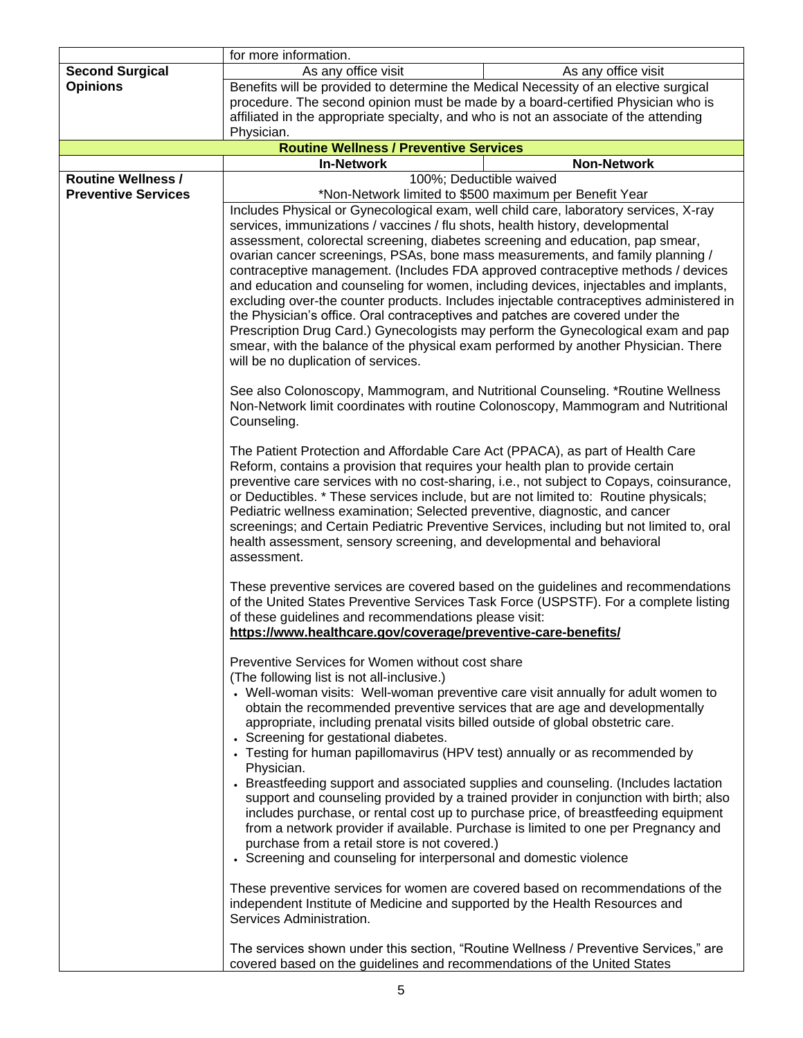|                            | for more information.                                                                                                                                                                                                                                                                                                                                                                                                                                                                                                                                                                                                                                                                                                                                                                                                                                                                                                                                                                                                                                                                      |                                                                                                                                                                                                                                                                   |
|----------------------------|--------------------------------------------------------------------------------------------------------------------------------------------------------------------------------------------------------------------------------------------------------------------------------------------------------------------------------------------------------------------------------------------------------------------------------------------------------------------------------------------------------------------------------------------------------------------------------------------------------------------------------------------------------------------------------------------------------------------------------------------------------------------------------------------------------------------------------------------------------------------------------------------------------------------------------------------------------------------------------------------------------------------------------------------------------------------------------------------|-------------------------------------------------------------------------------------------------------------------------------------------------------------------------------------------------------------------------------------------------------------------|
| <b>Second Surgical</b>     | As any office visit                                                                                                                                                                                                                                                                                                                                                                                                                                                                                                                                                                                                                                                                                                                                                                                                                                                                                                                                                                                                                                                                        | As any office visit                                                                                                                                                                                                                                               |
| <b>Opinions</b>            | Benefits will be provided to determine the Medical Necessity of an elective surgical                                                                                                                                                                                                                                                                                                                                                                                                                                                                                                                                                                                                                                                                                                                                                                                                                                                                                                                                                                                                       |                                                                                                                                                                                                                                                                   |
|                            | procedure. The second opinion must be made by a board-certified Physician who is                                                                                                                                                                                                                                                                                                                                                                                                                                                                                                                                                                                                                                                                                                                                                                                                                                                                                                                                                                                                           |                                                                                                                                                                                                                                                                   |
|                            | affiliated in the appropriate specialty, and who is not an associate of the attending                                                                                                                                                                                                                                                                                                                                                                                                                                                                                                                                                                                                                                                                                                                                                                                                                                                                                                                                                                                                      |                                                                                                                                                                                                                                                                   |
|                            | Physician.<br><b>Routine Wellness / Preventive Services</b>                                                                                                                                                                                                                                                                                                                                                                                                                                                                                                                                                                                                                                                                                                                                                                                                                                                                                                                                                                                                                                |                                                                                                                                                                                                                                                                   |
|                            | <b>In-Network</b>                                                                                                                                                                                                                                                                                                                                                                                                                                                                                                                                                                                                                                                                                                                                                                                                                                                                                                                                                                                                                                                                          | <b>Non-Network</b>                                                                                                                                                                                                                                                |
| <b>Routine Wellness /</b>  |                                                                                                                                                                                                                                                                                                                                                                                                                                                                                                                                                                                                                                                                                                                                                                                                                                                                                                                                                                                                                                                                                            | 100%; Deductible waived                                                                                                                                                                                                                                           |
| <b>Preventive Services</b> | *Non-Network limited to \$500 maximum per Benefit Year                                                                                                                                                                                                                                                                                                                                                                                                                                                                                                                                                                                                                                                                                                                                                                                                                                                                                                                                                                                                                                     |                                                                                                                                                                                                                                                                   |
|                            | Includes Physical or Gynecological exam, well child care, laboratory services, X-ray<br>services, immunizations / vaccines / flu shots, health history, developmental<br>assessment, colorectal screening, diabetes screening and education, pap smear,<br>ovarian cancer screenings, PSAs, bone mass measurements, and family planning /<br>contraceptive management. (Includes FDA approved contraceptive methods / devices<br>and education and counseling for women, including devices, injectables and implants,<br>excluding over-the counter products. Includes injectable contraceptives administered in<br>the Physician's office. Oral contraceptives and patches are covered under the<br>Prescription Drug Card.) Gynecologists may perform the Gynecological exam and pap<br>smear, with the balance of the physical exam performed by another Physician. There<br>will be no duplication of services.<br>See also Colonoscopy, Mammogram, and Nutritional Counseling. *Routine Wellness<br>Non-Network limit coordinates with routine Colonoscopy, Mammogram and Nutritional |                                                                                                                                                                                                                                                                   |
|                            | Counseling.<br>The Patient Protection and Affordable Care Act (PPACA), as part of Health Care<br>Reform, contains a provision that requires your health plan to provide certain<br>preventive care services with no cost-sharing, i.e., not subject to Copays, coinsurance,<br>or Deductibles. * These services include, but are not limited to: Routine physicals;<br>Pediatric wellness examination; Selected preventive, diagnostic, and cancer<br>screenings; and Certain Pediatric Preventive Services, including but not limited to, oral<br>health assessment, sensory screening, and developmental and behavioral<br>assessment.                                                                                                                                                                                                                                                                                                                                                                                                                                                   |                                                                                                                                                                                                                                                                   |
|                            | These preventive services are covered based on the guidelines and recommendations<br>of the United States Preventive Services Task Force (USPSTF). For a complete listing<br>of these guidelines and recommendations please visit:<br>https://www.healthcare.gov/coverage/preventive-care-benefits/                                                                                                                                                                                                                                                                                                                                                                                                                                                                                                                                                                                                                                                                                                                                                                                        |                                                                                                                                                                                                                                                                   |
|                            | Preventive Services for Women without cost share<br>(The following list is not all-inclusive.)<br>• Well-woman visits: Well-woman preventive care visit annually for adult women to<br>obtain the recommended preventive services that are age and developmentally<br>appropriate, including prenatal visits billed outside of global obstetric care.<br>• Screening for gestational diabetes.<br>• Testing for human papillomavirus (HPV test) annually or as recommended by<br>Physician.<br>• Breastfeeding support and associated supplies and counseling. (Includes lactation<br>purchase from a retail store is not covered.)<br>• Screening and counseling for interpersonal and domestic violence<br>These preventive services for women are covered based on recommendations of the<br>independent Institute of Medicine and supported by the Health Resources and<br>Services Administration.                                                                                                                                                                                    | support and counseling provided by a trained provider in conjunction with birth; also<br>includes purchase, or rental cost up to purchase price, of breastfeeding equipment<br>from a network provider if available. Purchase is limited to one per Pregnancy and |
|                            | The services shown under this section, "Routine Wellness / Preventive Services," are<br>covered based on the guidelines and recommendations of the United States                                                                                                                                                                                                                                                                                                                                                                                                                                                                                                                                                                                                                                                                                                                                                                                                                                                                                                                           |                                                                                                                                                                                                                                                                   |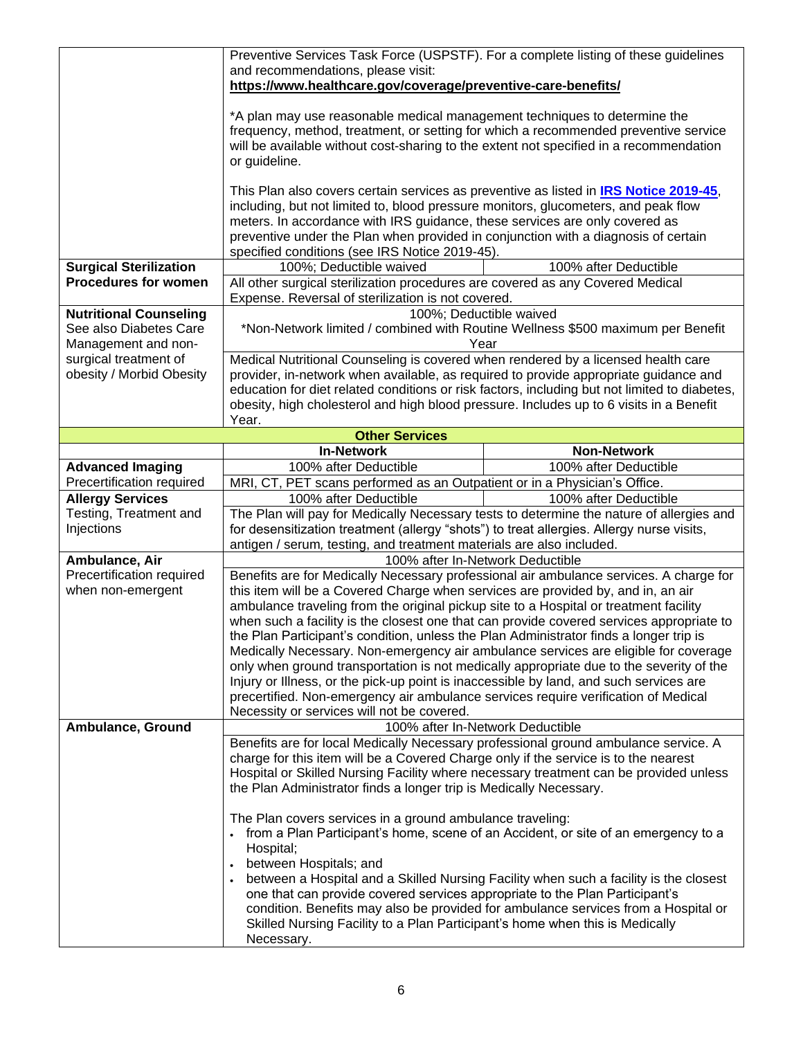|                                                   | Preventive Services Task Force (USPSTF). For a complete listing of these quidelines                                                                                           |                                                                                               |
|---------------------------------------------------|-------------------------------------------------------------------------------------------------------------------------------------------------------------------------------|-----------------------------------------------------------------------------------------------|
|                                                   | and recommendations, please visit:<br>https://www.healthcare.gov/coverage/preventive-care-benefits/                                                                           |                                                                                               |
|                                                   |                                                                                                                                                                               |                                                                                               |
|                                                   | *A plan may use reasonable medical management techniques to determine the                                                                                                     |                                                                                               |
|                                                   | frequency, method, treatment, or setting for which a recommended preventive service                                                                                           |                                                                                               |
|                                                   | will be available without cost-sharing to the extent not specified in a recommendation                                                                                        |                                                                                               |
|                                                   | or guideline.                                                                                                                                                                 |                                                                                               |
|                                                   | This Plan also covers certain services as preventive as listed in IRS Notice 2019-45,                                                                                         |                                                                                               |
|                                                   | including, but not limited to, blood pressure monitors, glucometers, and peak flow                                                                                            |                                                                                               |
|                                                   | meters. In accordance with IRS guidance, these services are only covered as                                                                                                   |                                                                                               |
|                                                   | preventive under the Plan when provided in conjunction with a diagnosis of certain                                                                                            |                                                                                               |
| <b>Surgical Sterilization</b>                     | specified conditions (see IRS Notice 2019-45).<br>100%; Deductible waived                                                                                                     | 100% after Deductible                                                                         |
| <b>Procedures for women</b>                       | All other surgical sterilization procedures are covered as any Covered Medical                                                                                                |                                                                                               |
|                                                   | Expense. Reversal of sterilization is not covered.                                                                                                                            |                                                                                               |
| <b>Nutritional Counseling</b>                     |                                                                                                                                                                               | 100%; Deductible waived                                                                       |
| See also Diabetes Care                            |                                                                                                                                                                               | *Non-Network limited / combined with Routine Wellness \$500 maximum per Benefit               |
| Management and non-                               | Medical Nutritional Counseling is covered when rendered by a licensed health care                                                                                             | Year                                                                                          |
| surgical treatment of<br>obesity / Morbid Obesity | provider, in-network when available, as required to provide appropriate guidance and                                                                                          |                                                                                               |
|                                                   |                                                                                                                                                                               | education for diet related conditions or risk factors, including but not limited to diabetes, |
|                                                   | obesity, high cholesterol and high blood pressure. Includes up to 6 visits in a Benefit                                                                                       |                                                                                               |
|                                                   | Year.                                                                                                                                                                         |                                                                                               |
|                                                   | <b>Other Services</b><br><b>In-Network</b>                                                                                                                                    | <b>Non-Network</b>                                                                            |
| <b>Advanced Imaging</b>                           | 100% after Deductible                                                                                                                                                         | 100% after Deductible                                                                         |
| Precertification required                         | MRI, CT, PET scans performed as an Outpatient or in a Physician's Office.                                                                                                     |                                                                                               |
| <b>Allergy Services</b>                           | 100% after Deductible                                                                                                                                                         | 100% after Deductible                                                                         |
| Testing, Treatment and                            |                                                                                                                                                                               | The Plan will pay for Medically Necessary tests to determine the nature of allergies and      |
| Injections                                        | for desensitization treatment (allergy "shots") to treat allergies. Allergy nurse visits,                                                                                     |                                                                                               |
| Ambulance, Air                                    | antigen / serum, testing, and treatment materials are also included.                                                                                                          | 100% after In-Network Deductible                                                              |
| Precertification required                         |                                                                                                                                                                               | Benefits are for Medically Necessary professional air ambulance services. A charge for        |
| when non-emergent                                 | this item will be a Covered Charge when services are provided by, and in, an air                                                                                              |                                                                                               |
|                                                   | ambulance traveling from the original pickup site to a Hospital or treatment facility                                                                                         |                                                                                               |
|                                                   | when such a facility is the closest one that can provide covered services appropriate to                                                                                      |                                                                                               |
|                                                   | the Plan Participant's condition, unless the Plan Administrator finds a longer trip is<br>Medically Necessary. Non-emergency air ambulance services are eligible for coverage |                                                                                               |
|                                                   | only when ground transportation is not medically appropriate due to the severity of the                                                                                       |                                                                                               |
|                                                   | Injury or Illness, or the pick-up point is inaccessible by land, and such services are                                                                                        |                                                                                               |
|                                                   | precertified. Non-emergency air ambulance services require verification of Medical                                                                                            |                                                                                               |
|                                                   | Necessity or services will not be covered.                                                                                                                                    |                                                                                               |
| Ambulance, Ground                                 | Benefits are for local Medically Necessary professional ground ambulance service. A                                                                                           | 100% after In-Network Deductible                                                              |
|                                                   | charge for this item will be a Covered Charge only if the service is to the nearest                                                                                           |                                                                                               |
|                                                   | Hospital or Skilled Nursing Facility where necessary treatment can be provided unless                                                                                         |                                                                                               |
|                                                   | the Plan Administrator finds a longer trip is Medically Necessary.                                                                                                            |                                                                                               |
|                                                   |                                                                                                                                                                               |                                                                                               |
|                                                   | The Plan covers services in a ground ambulance traveling:<br>$\bullet$                                                                                                        | from a Plan Participant's home, scene of an Accident, or site of an emergency to a            |
|                                                   | Hospital;                                                                                                                                                                     |                                                                                               |
|                                                   | between Hospitals; and                                                                                                                                                        |                                                                                               |
|                                                   |                                                                                                                                                                               | between a Hospital and a Skilled Nursing Facility when such a facility is the closest         |
|                                                   |                                                                                                                                                                               |                                                                                               |
|                                                   | one that can provide covered services appropriate to the Plan Participant's                                                                                                   |                                                                                               |
|                                                   | Skilled Nursing Facility to a Plan Participant's home when this is Medically                                                                                                  | condition. Benefits may also be provided for ambulance services from a Hospital or            |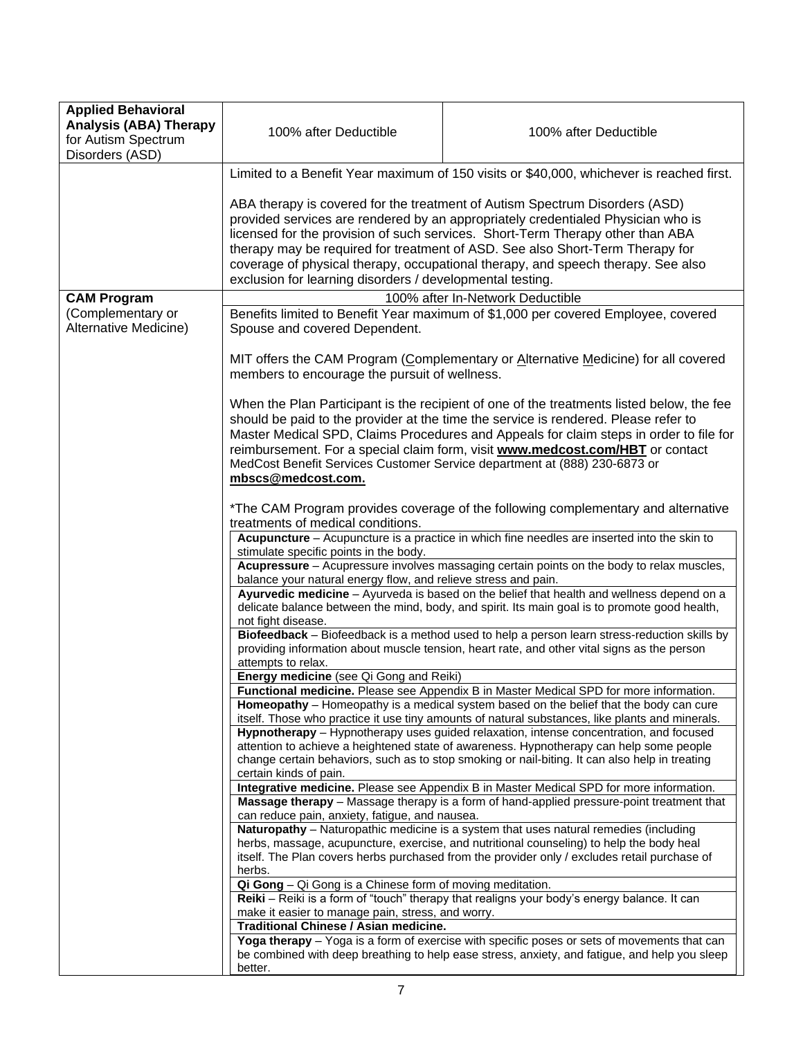| <b>Applied Behavioral</b><br><b>Analysis (ABA) Therapy</b><br>for Autism Spectrum<br>Disorders (ASD) | 100% after Deductible                                                                                                                                                                                                 | 100% after Deductible                                                                                                                                                                                                                                                                                                                                                                                                                    |
|------------------------------------------------------------------------------------------------------|-----------------------------------------------------------------------------------------------------------------------------------------------------------------------------------------------------------------------|------------------------------------------------------------------------------------------------------------------------------------------------------------------------------------------------------------------------------------------------------------------------------------------------------------------------------------------------------------------------------------------------------------------------------------------|
|                                                                                                      | Limited to a Benefit Year maximum of 150 visits or \$40,000, whichever is reached first.                                                                                                                              |                                                                                                                                                                                                                                                                                                                                                                                                                                          |
|                                                                                                      | exclusion for learning disorders / developmental testing.                                                                                                                                                             | ABA therapy is covered for the treatment of Autism Spectrum Disorders (ASD)<br>provided services are rendered by an appropriately credentialed Physician who is<br>licensed for the provision of such services. Short-Term Therapy other than ABA<br>therapy may be required for treatment of ASD. See also Short-Term Therapy for<br>coverage of physical therapy, occupational therapy, and speech therapy. See also                   |
| <b>CAM Program</b>                                                                                   |                                                                                                                                                                                                                       | 100% after In-Network Deductible                                                                                                                                                                                                                                                                                                                                                                                                         |
| (Complementary or<br>Alternative Medicine)                                                           | Spouse and covered Dependent.                                                                                                                                                                                         | Benefits limited to Benefit Year maximum of \$1,000 per covered Employee, covered                                                                                                                                                                                                                                                                                                                                                        |
|                                                                                                      | members to encourage the pursuit of wellness.                                                                                                                                                                         | MIT offers the CAM Program (Complementary or Alternative Medicine) for all covered                                                                                                                                                                                                                                                                                                                                                       |
|                                                                                                      | mbscs@medcost.com.                                                                                                                                                                                                    | When the Plan Participant is the recipient of one of the treatments listed below, the fee<br>should be paid to the provider at the time the service is rendered. Please refer to<br>Master Medical SPD, Claims Procedures and Appeals for claim steps in order to file for<br>reimbursement. For a special claim form, visit www.medcost.com/HBT or contact<br>MedCost Benefit Services Customer Service department at (888) 230-6873 or |
|                                                                                                      | *The CAM Program provides coverage of the following complementary and alternative<br>treatments of medical conditions.<br>Acupuncture - Acupuncture is a practice in which fine needles are inserted into the skin to |                                                                                                                                                                                                                                                                                                                                                                                                                                          |
|                                                                                                      | stimulate specific points in the body.                                                                                                                                                                                | Acupressure - Acupressure involves massaging certain points on the body to relax muscles,                                                                                                                                                                                                                                                                                                                                                |
|                                                                                                      | balance your natural energy flow, and relieve stress and pain.<br>not fight disease.                                                                                                                                  | Ayurvedic medicine - Ayurveda is based on the belief that health and wellness depend on a<br>delicate balance between the mind, body, and spirit. Its main goal is to promote good health,                                                                                                                                                                                                                                               |
|                                                                                                      | attempts to relax.                                                                                                                                                                                                    | Biofeedback - Biofeedback is a method used to help a person learn stress-reduction skills by<br>providing information about muscle tension, heart rate, and other vital signs as the person                                                                                                                                                                                                                                              |
|                                                                                                      | Energy medicine (see Qi Gong and Reiki)                                                                                                                                                                               |                                                                                                                                                                                                                                                                                                                                                                                                                                          |
|                                                                                                      |                                                                                                                                                                                                                       | Functional medicine. Please see Appendix B in Master Medical SPD for more information.<br>Homeopathy - Homeopathy is a medical system based on the belief that the body can cure<br>itself. Those who practice it use tiny amounts of natural substances, like plants and minerals.                                                                                                                                                      |
|                                                                                                      | certain kinds of pain.                                                                                                                                                                                                | Hypnotherapy - Hypnotherapy uses guided relaxation, intense concentration, and focused<br>attention to achieve a heightened state of awareness. Hypnotherapy can help some people<br>change certain behaviors, such as to stop smoking or nail-biting. It can also help in treating                                                                                                                                                      |
|                                                                                                      | can reduce pain, anxiety, fatigue, and nausea.                                                                                                                                                                        | Integrative medicine. Please see Appendix B in Master Medical SPD for more information.<br>Massage therapy - Massage therapy is a form of hand-applied pressure-point treatment that                                                                                                                                                                                                                                                     |
|                                                                                                      | herbs.                                                                                                                                                                                                                | Naturopathy - Naturopathic medicine is a system that uses natural remedies (including<br>herbs, massage, acupuncture, exercise, and nutritional counseling) to help the body heal<br>itself. The Plan covers herbs purchased from the provider only / excludes retail purchase of                                                                                                                                                        |
|                                                                                                      | Qi Gong - Qi Gong is a Chinese form of moving meditation.                                                                                                                                                             |                                                                                                                                                                                                                                                                                                                                                                                                                                          |
|                                                                                                      | make it easier to manage pain, stress, and worry.                                                                                                                                                                     | Reiki - Reiki is a form of "touch" therapy that realigns your body's energy balance. It can                                                                                                                                                                                                                                                                                                                                              |
|                                                                                                      | Traditional Chinese / Asian medicine.                                                                                                                                                                                 |                                                                                                                                                                                                                                                                                                                                                                                                                                          |
|                                                                                                      | better.                                                                                                                                                                                                               | Yoga therapy - Yoga is a form of exercise with specific poses or sets of movements that can<br>be combined with deep breathing to help ease stress, anxiety, and fatigue, and help you sleep                                                                                                                                                                                                                                             |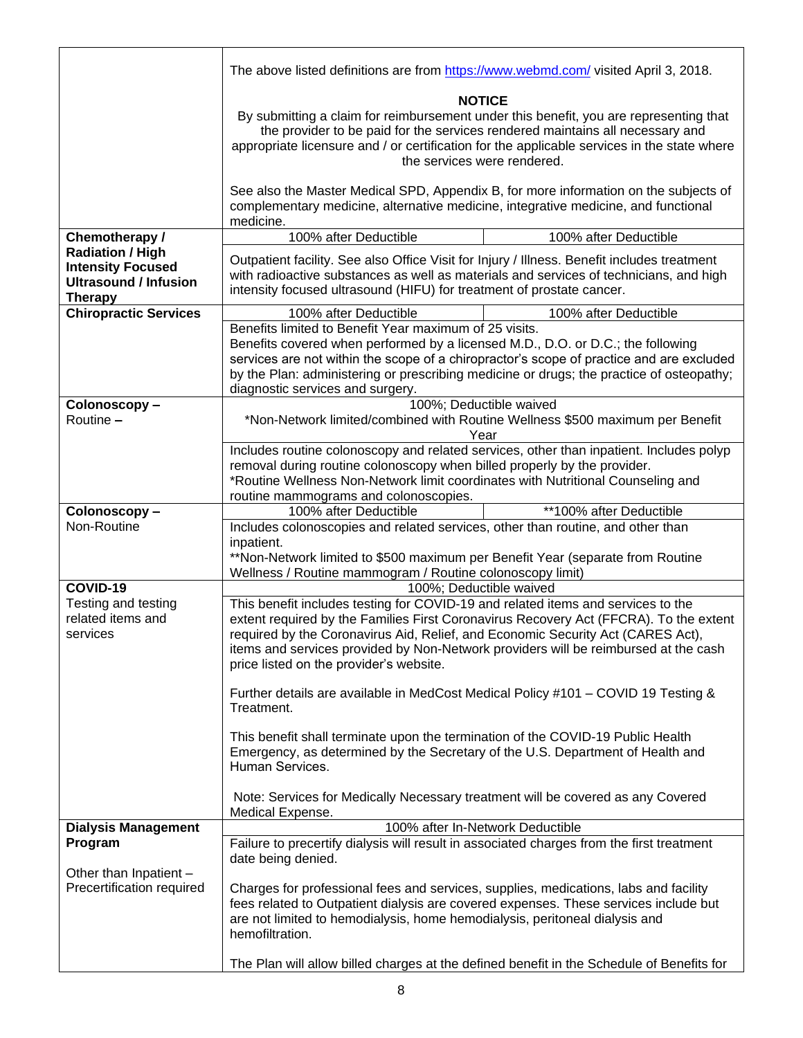|                                                                                                       | The above listed definitions are from https://www.webmd.com/ visited April 3, 2018.                                                                                                                                                                                                                                                                                                            |  |
|-------------------------------------------------------------------------------------------------------|------------------------------------------------------------------------------------------------------------------------------------------------------------------------------------------------------------------------------------------------------------------------------------------------------------------------------------------------------------------------------------------------|--|
|                                                                                                       | <b>NOTICE</b><br>By submitting a claim for reimbursement under this benefit, you are representing that<br>the provider to be paid for the services rendered maintains all necessary and<br>appropriate licensure and / or certification for the applicable services in the state where<br>the services were rendered.                                                                          |  |
|                                                                                                       | See also the Master Medical SPD, Appendix B, for more information on the subjects of<br>complementary medicine, alternative medicine, integrative medicine, and functional<br>medicine.                                                                                                                                                                                                        |  |
| Chemotherapy /                                                                                        | 100% after Deductible<br>100% after Deductible                                                                                                                                                                                                                                                                                                                                                 |  |
| <b>Radiation / High</b><br><b>Intensity Focused</b><br><b>Ultrasound / Infusion</b><br><b>Therapy</b> | Outpatient facility. See also Office Visit for Injury / Illness. Benefit includes treatment<br>with radioactive substances as well as materials and services of technicians, and high<br>intensity focused ultrasound (HIFU) for treatment of prostate cancer.                                                                                                                                 |  |
| <b>Chiropractic Services</b>                                                                          | 100% after Deductible<br>100% after Deductible                                                                                                                                                                                                                                                                                                                                                 |  |
|                                                                                                       | Benefits limited to Benefit Year maximum of 25 visits.<br>Benefits covered when performed by a licensed M.D., D.O. or D.C.; the following<br>services are not within the scope of a chiropractor's scope of practice and are excluded<br>by the Plan: administering or prescribing medicine or drugs; the practice of osteopathy;<br>diagnostic services and surgery.                          |  |
| Colonoscopy-<br>Routine -                                                                             | 100%; Deductible waived<br>*Non-Network limited/combined with Routine Wellness \$500 maximum per Benefit<br>Year                                                                                                                                                                                                                                                                               |  |
|                                                                                                       | Includes routine colonoscopy and related services, other than inpatient. Includes polyp<br>removal during routine colonoscopy when billed properly by the provider.<br>*Routine Wellness Non-Network limit coordinates with Nutritional Counseling and<br>routine mammograms and colonoscopies.                                                                                                |  |
| Colonoscopy-                                                                                          | 100% after Deductible<br>**100% after Deductible                                                                                                                                                                                                                                                                                                                                               |  |
| Non-Routine                                                                                           | Includes colonoscopies and related services, other than routine, and other than<br>inpatient.<br>**Non-Network limited to \$500 maximum per Benefit Year (separate from Routine<br>Wellness / Routine mammogram / Routine colonoscopy limit)                                                                                                                                                   |  |
| COVID-19                                                                                              | 100%; Deductible waived                                                                                                                                                                                                                                                                                                                                                                        |  |
| Testing and testing<br>related items and<br>services                                                  | This benefit includes testing for COVID-19 and related items and services to the<br>extent required by the Families First Coronavirus Recovery Act (FFCRA). To the extent<br>required by the Coronavirus Aid, Relief, and Economic Security Act (CARES Act),<br>items and services provided by Non-Network providers will be reimbursed at the cash<br>price listed on the provider's website. |  |
|                                                                                                       | Further details are available in MedCost Medical Policy #101 - COVID 19 Testing &<br>Treatment.                                                                                                                                                                                                                                                                                                |  |
|                                                                                                       | This benefit shall terminate upon the termination of the COVID-19 Public Health<br>Emergency, as determined by the Secretary of the U.S. Department of Health and<br>Human Services.                                                                                                                                                                                                           |  |
|                                                                                                       | Note: Services for Medically Necessary treatment will be covered as any Covered<br>Medical Expense.                                                                                                                                                                                                                                                                                            |  |
| <b>Dialysis Management</b>                                                                            | 100% after In-Network Deductible                                                                                                                                                                                                                                                                                                                                                               |  |
| Program<br>Other than Inpatient -<br>Precertification required                                        | Failure to precertify dialysis will result in associated charges from the first treatment<br>date being denied.<br>Charges for professional fees and services, supplies, medications, labs and facility<br>fees related to Outpatient dialysis are covered expenses. These services include but                                                                                                |  |
|                                                                                                       | are not limited to hemodialysis, home hemodialysis, peritoneal dialysis and<br>hemofiltration.<br>The Plan will allow billed charges at the defined benefit in the Schedule of Benefits for                                                                                                                                                                                                    |  |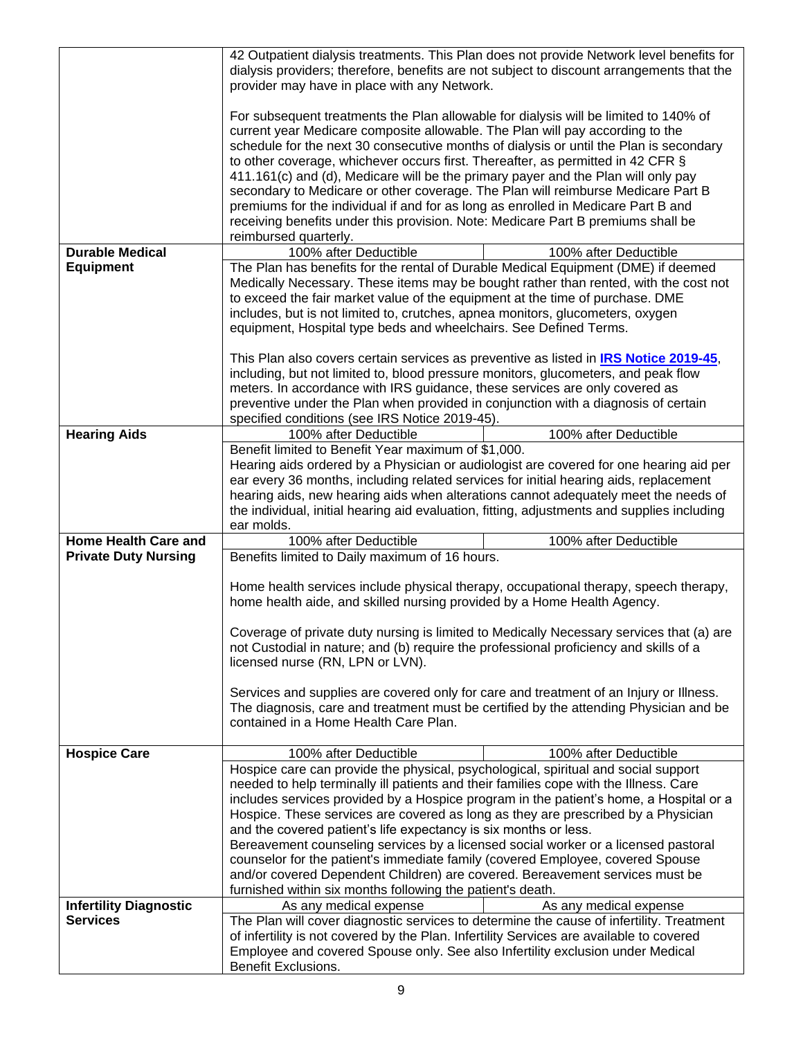| provider may have in place with any Network.<br>For subsequent treatments the Plan allowable for dialysis will be limited to 140% of<br>current year Medicare composite allowable. The Plan will pay according to the<br>schedule for the next 30 consecutive months of dialysis or until the Plan is secondary<br>to other coverage, whichever occurs first. Thereafter, as permitted in 42 CFR §<br>411.161(c) and (d), Medicare will be the primary payer and the Plan will only pay<br>secondary to Medicare or other coverage. The Plan will reimburse Medicare Part B<br>premiums for the individual if and for as long as enrolled in Medicare Part B and<br>receiving benefits under this provision. Note: Medicare Part B premiums shall be<br>reimbursed quarterly.<br><b>Durable Medical</b><br>100% after Deductible<br>100% after Deductible<br><b>Equipment</b><br>The Plan has benefits for the rental of Durable Medical Equipment (DME) if deemed<br>Medically Necessary. These items may be bought rather than rented, with the cost not<br>to exceed the fair market value of the equipment at the time of purchase. DME<br>includes, but is not limited to, crutches, apnea monitors, glucometers, oxygen<br>equipment, Hospital type beds and wheelchairs. See Defined Terms.<br>This Plan also covers certain services as preventive as listed in IRS Notice 2019-45,<br>including, but not limited to, blood pressure monitors, glucometers, and peak flow<br>meters. In accordance with IRS guidance, these services are only covered as<br>preventive under the Plan when provided in conjunction with a diagnosis of certain<br>specified conditions (see IRS Notice 2019-45).<br><b>Hearing Aids</b><br>100% after Deductible<br>100% after Deductible<br>Benefit limited to Benefit Year maximum of \$1,000.<br>Hearing aids ordered by a Physician or audiologist are covered for one hearing aid per<br>ear every 36 months, including related services for initial hearing aids, replacement<br>hearing aids, new hearing aids when alterations cannot adequately meet the needs of<br>the individual, initial hearing aid evaluation, fitting, adjustments and supplies including<br>ear molds.<br><b>Home Health Care and</b><br>100% after Deductible<br>100% after Deductible<br><b>Private Duty Nursing</b><br>Benefits limited to Daily maximum of 16 hours.<br>Home health services include physical therapy, occupational therapy, speech therapy,<br>home health aide, and skilled nursing provided by a Home Health Agency.<br>Coverage of private duty nursing is limited to Medically Necessary services that (a) are<br>not Custodial in nature; and (b) require the professional proficiency and skills of a<br>licensed nurse (RN, LPN or LVN).<br>Services and supplies are covered only for care and treatment of an Injury or Illness.<br>The diagnosis, care and treatment must be certified by the attending Physician and be<br>contained in a Home Health Care Plan.<br><b>Hospice Care</b><br>100% after Deductible<br>100% after Deductible<br>Hospice care can provide the physical, psychological, spiritual and social support<br>needed to help terminally ill patients and their families cope with the Illness. Care<br>includes services provided by a Hospice program in the patient's home, a Hospital or a<br>Hospice. These services are covered as long as they are prescribed by a Physician<br>and the covered patient's life expectancy is six months or less.<br>Bereavement counseling services by a licensed social worker or a licensed pastoral<br>counselor for the patient's immediate family (covered Employee, covered Spouse<br>and/or covered Dependent Children) are covered. Bereavement services must be<br>furnished within six months following the patient's death.<br><b>Infertility Diagnostic</b><br>As any medical expense<br>As any medical expense<br>The Plan will cover diagnostic services to determine the cause of infertility. Treatment<br><b>Services</b><br>of infertility is not covered by the Plan. Infertility Services are available to covered<br>Employee and covered Spouse only. See also Infertility exclusion under Medical | dialysis providers; therefore, benefits are not subject to discount arrangements that the | 42 Outpatient dialysis treatments. This Plan does not provide Network level benefits for |
|----------------------------------------------------------------------------------------------------------------------------------------------------------------------------------------------------------------------------------------------------------------------------------------------------------------------------------------------------------------------------------------------------------------------------------------------------------------------------------------------------------------------------------------------------------------------------------------------------------------------------------------------------------------------------------------------------------------------------------------------------------------------------------------------------------------------------------------------------------------------------------------------------------------------------------------------------------------------------------------------------------------------------------------------------------------------------------------------------------------------------------------------------------------------------------------------------------------------------------------------------------------------------------------------------------------------------------------------------------------------------------------------------------------------------------------------------------------------------------------------------------------------------------------------------------------------------------------------------------------------------------------------------------------------------------------------------------------------------------------------------------------------------------------------------------------------------------------------------------------------------------------------------------------------------------------------------------------------------------------------------------------------------------------------------------------------------------------------------------------------------------------------------------------------------------------------------------------------------------------------------------------------------------------------------------------------------------------------------------------------------------------------------------------------------------------------------------------------------------------------------------------------------------------------------------------------------------------------------------------------------------------------------------------------------------------------------------------------------------------------------------------------------------------------------------------------------------------------------------------------------------------------------------------------------------------------------------------------------------------------------------------------------------------------------------------------------------------------------------------------------------------------------------------------------------------------------------------------------------------------------------------------------------------------------------------------------------------------------------------------------------------------------------------------------------------------------------------------------------------------------------------------------------------------------------------------------------------------------------------------------------------------------------------------------------------------------------------------------------------------------------------------------------------------------------------------------------------------------------------------------------------------------------------------------------------------------------------------------------------------------------------------------------------------------------------------------------------------------------------------------------------------------------------------------------------------------------------------------------------------|-------------------------------------------------------------------------------------------|------------------------------------------------------------------------------------------|
|                                                                                                                                                                                                                                                                                                                                                                                                                                                                                                                                                                                                                                                                                                                                                                                                                                                                                                                                                                                                                                                                                                                                                                                                                                                                                                                                                                                                                                                                                                                                                                                                                                                                                                                                                                                                                                                                                                                                                                                                                                                                                                                                                                                                                                                                                                                                                                                                                                                                                                                                                                                                                                                                                                                                                                                                                                                                                                                                                                                                                                                                                                                                                                                                                                                                                                                                                                                                                                                                                                                                                                                                                                                                                                                                                                                                                                                                                                                                                                                                                                                                                                                                                                                                                                              |                                                                                           |                                                                                          |
|                                                                                                                                                                                                                                                                                                                                                                                                                                                                                                                                                                                                                                                                                                                                                                                                                                                                                                                                                                                                                                                                                                                                                                                                                                                                                                                                                                                                                                                                                                                                                                                                                                                                                                                                                                                                                                                                                                                                                                                                                                                                                                                                                                                                                                                                                                                                                                                                                                                                                                                                                                                                                                                                                                                                                                                                                                                                                                                                                                                                                                                                                                                                                                                                                                                                                                                                                                                                                                                                                                                                                                                                                                                                                                                                                                                                                                                                                                                                                                                                                                                                                                                                                                                                                                              |                                                                                           |                                                                                          |
|                                                                                                                                                                                                                                                                                                                                                                                                                                                                                                                                                                                                                                                                                                                                                                                                                                                                                                                                                                                                                                                                                                                                                                                                                                                                                                                                                                                                                                                                                                                                                                                                                                                                                                                                                                                                                                                                                                                                                                                                                                                                                                                                                                                                                                                                                                                                                                                                                                                                                                                                                                                                                                                                                                                                                                                                                                                                                                                                                                                                                                                                                                                                                                                                                                                                                                                                                                                                                                                                                                                                                                                                                                                                                                                                                                                                                                                                                                                                                                                                                                                                                                                                                                                                                                              |                                                                                           |                                                                                          |
|                                                                                                                                                                                                                                                                                                                                                                                                                                                                                                                                                                                                                                                                                                                                                                                                                                                                                                                                                                                                                                                                                                                                                                                                                                                                                                                                                                                                                                                                                                                                                                                                                                                                                                                                                                                                                                                                                                                                                                                                                                                                                                                                                                                                                                                                                                                                                                                                                                                                                                                                                                                                                                                                                                                                                                                                                                                                                                                                                                                                                                                                                                                                                                                                                                                                                                                                                                                                                                                                                                                                                                                                                                                                                                                                                                                                                                                                                                                                                                                                                                                                                                                                                                                                                                              |                                                                                           |                                                                                          |
|                                                                                                                                                                                                                                                                                                                                                                                                                                                                                                                                                                                                                                                                                                                                                                                                                                                                                                                                                                                                                                                                                                                                                                                                                                                                                                                                                                                                                                                                                                                                                                                                                                                                                                                                                                                                                                                                                                                                                                                                                                                                                                                                                                                                                                                                                                                                                                                                                                                                                                                                                                                                                                                                                                                                                                                                                                                                                                                                                                                                                                                                                                                                                                                                                                                                                                                                                                                                                                                                                                                                                                                                                                                                                                                                                                                                                                                                                                                                                                                                                                                                                                                                                                                                                                              |                                                                                           |                                                                                          |
|                                                                                                                                                                                                                                                                                                                                                                                                                                                                                                                                                                                                                                                                                                                                                                                                                                                                                                                                                                                                                                                                                                                                                                                                                                                                                                                                                                                                                                                                                                                                                                                                                                                                                                                                                                                                                                                                                                                                                                                                                                                                                                                                                                                                                                                                                                                                                                                                                                                                                                                                                                                                                                                                                                                                                                                                                                                                                                                                                                                                                                                                                                                                                                                                                                                                                                                                                                                                                                                                                                                                                                                                                                                                                                                                                                                                                                                                                                                                                                                                                                                                                                                                                                                                                                              |                                                                                           |                                                                                          |
|                                                                                                                                                                                                                                                                                                                                                                                                                                                                                                                                                                                                                                                                                                                                                                                                                                                                                                                                                                                                                                                                                                                                                                                                                                                                                                                                                                                                                                                                                                                                                                                                                                                                                                                                                                                                                                                                                                                                                                                                                                                                                                                                                                                                                                                                                                                                                                                                                                                                                                                                                                                                                                                                                                                                                                                                                                                                                                                                                                                                                                                                                                                                                                                                                                                                                                                                                                                                                                                                                                                                                                                                                                                                                                                                                                                                                                                                                                                                                                                                                                                                                                                                                                                                                                              |                                                                                           |                                                                                          |
|                                                                                                                                                                                                                                                                                                                                                                                                                                                                                                                                                                                                                                                                                                                                                                                                                                                                                                                                                                                                                                                                                                                                                                                                                                                                                                                                                                                                                                                                                                                                                                                                                                                                                                                                                                                                                                                                                                                                                                                                                                                                                                                                                                                                                                                                                                                                                                                                                                                                                                                                                                                                                                                                                                                                                                                                                                                                                                                                                                                                                                                                                                                                                                                                                                                                                                                                                                                                                                                                                                                                                                                                                                                                                                                                                                                                                                                                                                                                                                                                                                                                                                                                                                                                                                              |                                                                                           |                                                                                          |
|                                                                                                                                                                                                                                                                                                                                                                                                                                                                                                                                                                                                                                                                                                                                                                                                                                                                                                                                                                                                                                                                                                                                                                                                                                                                                                                                                                                                                                                                                                                                                                                                                                                                                                                                                                                                                                                                                                                                                                                                                                                                                                                                                                                                                                                                                                                                                                                                                                                                                                                                                                                                                                                                                                                                                                                                                                                                                                                                                                                                                                                                                                                                                                                                                                                                                                                                                                                                                                                                                                                                                                                                                                                                                                                                                                                                                                                                                                                                                                                                                                                                                                                                                                                                                                              |                                                                                           |                                                                                          |
|                                                                                                                                                                                                                                                                                                                                                                                                                                                                                                                                                                                                                                                                                                                                                                                                                                                                                                                                                                                                                                                                                                                                                                                                                                                                                                                                                                                                                                                                                                                                                                                                                                                                                                                                                                                                                                                                                                                                                                                                                                                                                                                                                                                                                                                                                                                                                                                                                                                                                                                                                                                                                                                                                                                                                                                                                                                                                                                                                                                                                                                                                                                                                                                                                                                                                                                                                                                                                                                                                                                                                                                                                                                                                                                                                                                                                                                                                                                                                                                                                                                                                                                                                                                                                                              |                                                                                           |                                                                                          |
|                                                                                                                                                                                                                                                                                                                                                                                                                                                                                                                                                                                                                                                                                                                                                                                                                                                                                                                                                                                                                                                                                                                                                                                                                                                                                                                                                                                                                                                                                                                                                                                                                                                                                                                                                                                                                                                                                                                                                                                                                                                                                                                                                                                                                                                                                                                                                                                                                                                                                                                                                                                                                                                                                                                                                                                                                                                                                                                                                                                                                                                                                                                                                                                                                                                                                                                                                                                                                                                                                                                                                                                                                                                                                                                                                                                                                                                                                                                                                                                                                                                                                                                                                                                                                                              |                                                                                           |                                                                                          |
|                                                                                                                                                                                                                                                                                                                                                                                                                                                                                                                                                                                                                                                                                                                                                                                                                                                                                                                                                                                                                                                                                                                                                                                                                                                                                                                                                                                                                                                                                                                                                                                                                                                                                                                                                                                                                                                                                                                                                                                                                                                                                                                                                                                                                                                                                                                                                                                                                                                                                                                                                                                                                                                                                                                                                                                                                                                                                                                                                                                                                                                                                                                                                                                                                                                                                                                                                                                                                                                                                                                                                                                                                                                                                                                                                                                                                                                                                                                                                                                                                                                                                                                                                                                                                                              |                                                                                           |                                                                                          |
|                                                                                                                                                                                                                                                                                                                                                                                                                                                                                                                                                                                                                                                                                                                                                                                                                                                                                                                                                                                                                                                                                                                                                                                                                                                                                                                                                                                                                                                                                                                                                                                                                                                                                                                                                                                                                                                                                                                                                                                                                                                                                                                                                                                                                                                                                                                                                                                                                                                                                                                                                                                                                                                                                                                                                                                                                                                                                                                                                                                                                                                                                                                                                                                                                                                                                                                                                                                                                                                                                                                                                                                                                                                                                                                                                                                                                                                                                                                                                                                                                                                                                                                                                                                                                                              |                                                                                           |                                                                                          |
|                                                                                                                                                                                                                                                                                                                                                                                                                                                                                                                                                                                                                                                                                                                                                                                                                                                                                                                                                                                                                                                                                                                                                                                                                                                                                                                                                                                                                                                                                                                                                                                                                                                                                                                                                                                                                                                                                                                                                                                                                                                                                                                                                                                                                                                                                                                                                                                                                                                                                                                                                                                                                                                                                                                                                                                                                                                                                                                                                                                                                                                                                                                                                                                                                                                                                                                                                                                                                                                                                                                                                                                                                                                                                                                                                                                                                                                                                                                                                                                                                                                                                                                                                                                                                                              |                                                                                           |                                                                                          |
|                                                                                                                                                                                                                                                                                                                                                                                                                                                                                                                                                                                                                                                                                                                                                                                                                                                                                                                                                                                                                                                                                                                                                                                                                                                                                                                                                                                                                                                                                                                                                                                                                                                                                                                                                                                                                                                                                                                                                                                                                                                                                                                                                                                                                                                                                                                                                                                                                                                                                                                                                                                                                                                                                                                                                                                                                                                                                                                                                                                                                                                                                                                                                                                                                                                                                                                                                                                                                                                                                                                                                                                                                                                                                                                                                                                                                                                                                                                                                                                                                                                                                                                                                                                                                                              |                                                                                           |                                                                                          |
|                                                                                                                                                                                                                                                                                                                                                                                                                                                                                                                                                                                                                                                                                                                                                                                                                                                                                                                                                                                                                                                                                                                                                                                                                                                                                                                                                                                                                                                                                                                                                                                                                                                                                                                                                                                                                                                                                                                                                                                                                                                                                                                                                                                                                                                                                                                                                                                                                                                                                                                                                                                                                                                                                                                                                                                                                                                                                                                                                                                                                                                                                                                                                                                                                                                                                                                                                                                                                                                                                                                                                                                                                                                                                                                                                                                                                                                                                                                                                                                                                                                                                                                                                                                                                                              |                                                                                           |                                                                                          |
|                                                                                                                                                                                                                                                                                                                                                                                                                                                                                                                                                                                                                                                                                                                                                                                                                                                                                                                                                                                                                                                                                                                                                                                                                                                                                                                                                                                                                                                                                                                                                                                                                                                                                                                                                                                                                                                                                                                                                                                                                                                                                                                                                                                                                                                                                                                                                                                                                                                                                                                                                                                                                                                                                                                                                                                                                                                                                                                                                                                                                                                                                                                                                                                                                                                                                                                                                                                                                                                                                                                                                                                                                                                                                                                                                                                                                                                                                                                                                                                                                                                                                                                                                                                                                                              |                                                                                           |                                                                                          |
|                                                                                                                                                                                                                                                                                                                                                                                                                                                                                                                                                                                                                                                                                                                                                                                                                                                                                                                                                                                                                                                                                                                                                                                                                                                                                                                                                                                                                                                                                                                                                                                                                                                                                                                                                                                                                                                                                                                                                                                                                                                                                                                                                                                                                                                                                                                                                                                                                                                                                                                                                                                                                                                                                                                                                                                                                                                                                                                                                                                                                                                                                                                                                                                                                                                                                                                                                                                                                                                                                                                                                                                                                                                                                                                                                                                                                                                                                                                                                                                                                                                                                                                                                                                                                                              |                                                                                           |                                                                                          |
|                                                                                                                                                                                                                                                                                                                                                                                                                                                                                                                                                                                                                                                                                                                                                                                                                                                                                                                                                                                                                                                                                                                                                                                                                                                                                                                                                                                                                                                                                                                                                                                                                                                                                                                                                                                                                                                                                                                                                                                                                                                                                                                                                                                                                                                                                                                                                                                                                                                                                                                                                                                                                                                                                                                                                                                                                                                                                                                                                                                                                                                                                                                                                                                                                                                                                                                                                                                                                                                                                                                                                                                                                                                                                                                                                                                                                                                                                                                                                                                                                                                                                                                                                                                                                                              |                                                                                           |                                                                                          |
|                                                                                                                                                                                                                                                                                                                                                                                                                                                                                                                                                                                                                                                                                                                                                                                                                                                                                                                                                                                                                                                                                                                                                                                                                                                                                                                                                                                                                                                                                                                                                                                                                                                                                                                                                                                                                                                                                                                                                                                                                                                                                                                                                                                                                                                                                                                                                                                                                                                                                                                                                                                                                                                                                                                                                                                                                                                                                                                                                                                                                                                                                                                                                                                                                                                                                                                                                                                                                                                                                                                                                                                                                                                                                                                                                                                                                                                                                                                                                                                                                                                                                                                                                                                                                                              |                                                                                           |                                                                                          |
|                                                                                                                                                                                                                                                                                                                                                                                                                                                                                                                                                                                                                                                                                                                                                                                                                                                                                                                                                                                                                                                                                                                                                                                                                                                                                                                                                                                                                                                                                                                                                                                                                                                                                                                                                                                                                                                                                                                                                                                                                                                                                                                                                                                                                                                                                                                                                                                                                                                                                                                                                                                                                                                                                                                                                                                                                                                                                                                                                                                                                                                                                                                                                                                                                                                                                                                                                                                                                                                                                                                                                                                                                                                                                                                                                                                                                                                                                                                                                                                                                                                                                                                                                                                                                                              |                                                                                           |                                                                                          |
|                                                                                                                                                                                                                                                                                                                                                                                                                                                                                                                                                                                                                                                                                                                                                                                                                                                                                                                                                                                                                                                                                                                                                                                                                                                                                                                                                                                                                                                                                                                                                                                                                                                                                                                                                                                                                                                                                                                                                                                                                                                                                                                                                                                                                                                                                                                                                                                                                                                                                                                                                                                                                                                                                                                                                                                                                                                                                                                                                                                                                                                                                                                                                                                                                                                                                                                                                                                                                                                                                                                                                                                                                                                                                                                                                                                                                                                                                                                                                                                                                                                                                                                                                                                                                                              |                                                                                           |                                                                                          |
|                                                                                                                                                                                                                                                                                                                                                                                                                                                                                                                                                                                                                                                                                                                                                                                                                                                                                                                                                                                                                                                                                                                                                                                                                                                                                                                                                                                                                                                                                                                                                                                                                                                                                                                                                                                                                                                                                                                                                                                                                                                                                                                                                                                                                                                                                                                                                                                                                                                                                                                                                                                                                                                                                                                                                                                                                                                                                                                                                                                                                                                                                                                                                                                                                                                                                                                                                                                                                                                                                                                                                                                                                                                                                                                                                                                                                                                                                                                                                                                                                                                                                                                                                                                                                                              |                                                                                           |                                                                                          |
|                                                                                                                                                                                                                                                                                                                                                                                                                                                                                                                                                                                                                                                                                                                                                                                                                                                                                                                                                                                                                                                                                                                                                                                                                                                                                                                                                                                                                                                                                                                                                                                                                                                                                                                                                                                                                                                                                                                                                                                                                                                                                                                                                                                                                                                                                                                                                                                                                                                                                                                                                                                                                                                                                                                                                                                                                                                                                                                                                                                                                                                                                                                                                                                                                                                                                                                                                                                                                                                                                                                                                                                                                                                                                                                                                                                                                                                                                                                                                                                                                                                                                                                                                                                                                                              |                                                                                           |                                                                                          |
|                                                                                                                                                                                                                                                                                                                                                                                                                                                                                                                                                                                                                                                                                                                                                                                                                                                                                                                                                                                                                                                                                                                                                                                                                                                                                                                                                                                                                                                                                                                                                                                                                                                                                                                                                                                                                                                                                                                                                                                                                                                                                                                                                                                                                                                                                                                                                                                                                                                                                                                                                                                                                                                                                                                                                                                                                                                                                                                                                                                                                                                                                                                                                                                                                                                                                                                                                                                                                                                                                                                                                                                                                                                                                                                                                                                                                                                                                                                                                                                                                                                                                                                                                                                                                                              |                                                                                           |                                                                                          |
|                                                                                                                                                                                                                                                                                                                                                                                                                                                                                                                                                                                                                                                                                                                                                                                                                                                                                                                                                                                                                                                                                                                                                                                                                                                                                                                                                                                                                                                                                                                                                                                                                                                                                                                                                                                                                                                                                                                                                                                                                                                                                                                                                                                                                                                                                                                                                                                                                                                                                                                                                                                                                                                                                                                                                                                                                                                                                                                                                                                                                                                                                                                                                                                                                                                                                                                                                                                                                                                                                                                                                                                                                                                                                                                                                                                                                                                                                                                                                                                                                                                                                                                                                                                                                                              |                                                                                           |                                                                                          |
|                                                                                                                                                                                                                                                                                                                                                                                                                                                                                                                                                                                                                                                                                                                                                                                                                                                                                                                                                                                                                                                                                                                                                                                                                                                                                                                                                                                                                                                                                                                                                                                                                                                                                                                                                                                                                                                                                                                                                                                                                                                                                                                                                                                                                                                                                                                                                                                                                                                                                                                                                                                                                                                                                                                                                                                                                                                                                                                                                                                                                                                                                                                                                                                                                                                                                                                                                                                                                                                                                                                                                                                                                                                                                                                                                                                                                                                                                                                                                                                                                                                                                                                                                                                                                                              |                                                                                           |                                                                                          |
|                                                                                                                                                                                                                                                                                                                                                                                                                                                                                                                                                                                                                                                                                                                                                                                                                                                                                                                                                                                                                                                                                                                                                                                                                                                                                                                                                                                                                                                                                                                                                                                                                                                                                                                                                                                                                                                                                                                                                                                                                                                                                                                                                                                                                                                                                                                                                                                                                                                                                                                                                                                                                                                                                                                                                                                                                                                                                                                                                                                                                                                                                                                                                                                                                                                                                                                                                                                                                                                                                                                                                                                                                                                                                                                                                                                                                                                                                                                                                                                                                                                                                                                                                                                                                                              |                                                                                           |                                                                                          |
|                                                                                                                                                                                                                                                                                                                                                                                                                                                                                                                                                                                                                                                                                                                                                                                                                                                                                                                                                                                                                                                                                                                                                                                                                                                                                                                                                                                                                                                                                                                                                                                                                                                                                                                                                                                                                                                                                                                                                                                                                                                                                                                                                                                                                                                                                                                                                                                                                                                                                                                                                                                                                                                                                                                                                                                                                                                                                                                                                                                                                                                                                                                                                                                                                                                                                                                                                                                                                                                                                                                                                                                                                                                                                                                                                                                                                                                                                                                                                                                                                                                                                                                                                                                                                                              |                                                                                           |                                                                                          |
|                                                                                                                                                                                                                                                                                                                                                                                                                                                                                                                                                                                                                                                                                                                                                                                                                                                                                                                                                                                                                                                                                                                                                                                                                                                                                                                                                                                                                                                                                                                                                                                                                                                                                                                                                                                                                                                                                                                                                                                                                                                                                                                                                                                                                                                                                                                                                                                                                                                                                                                                                                                                                                                                                                                                                                                                                                                                                                                                                                                                                                                                                                                                                                                                                                                                                                                                                                                                                                                                                                                                                                                                                                                                                                                                                                                                                                                                                                                                                                                                                                                                                                                                                                                                                                              |                                                                                           |                                                                                          |
|                                                                                                                                                                                                                                                                                                                                                                                                                                                                                                                                                                                                                                                                                                                                                                                                                                                                                                                                                                                                                                                                                                                                                                                                                                                                                                                                                                                                                                                                                                                                                                                                                                                                                                                                                                                                                                                                                                                                                                                                                                                                                                                                                                                                                                                                                                                                                                                                                                                                                                                                                                                                                                                                                                                                                                                                                                                                                                                                                                                                                                                                                                                                                                                                                                                                                                                                                                                                                                                                                                                                                                                                                                                                                                                                                                                                                                                                                                                                                                                                                                                                                                                                                                                                                                              |                                                                                           |                                                                                          |
|                                                                                                                                                                                                                                                                                                                                                                                                                                                                                                                                                                                                                                                                                                                                                                                                                                                                                                                                                                                                                                                                                                                                                                                                                                                                                                                                                                                                                                                                                                                                                                                                                                                                                                                                                                                                                                                                                                                                                                                                                                                                                                                                                                                                                                                                                                                                                                                                                                                                                                                                                                                                                                                                                                                                                                                                                                                                                                                                                                                                                                                                                                                                                                                                                                                                                                                                                                                                                                                                                                                                                                                                                                                                                                                                                                                                                                                                                                                                                                                                                                                                                                                                                                                                                                              |                                                                                           |                                                                                          |
|                                                                                                                                                                                                                                                                                                                                                                                                                                                                                                                                                                                                                                                                                                                                                                                                                                                                                                                                                                                                                                                                                                                                                                                                                                                                                                                                                                                                                                                                                                                                                                                                                                                                                                                                                                                                                                                                                                                                                                                                                                                                                                                                                                                                                                                                                                                                                                                                                                                                                                                                                                                                                                                                                                                                                                                                                                                                                                                                                                                                                                                                                                                                                                                                                                                                                                                                                                                                                                                                                                                                                                                                                                                                                                                                                                                                                                                                                                                                                                                                                                                                                                                                                                                                                                              |                                                                                           |                                                                                          |
|                                                                                                                                                                                                                                                                                                                                                                                                                                                                                                                                                                                                                                                                                                                                                                                                                                                                                                                                                                                                                                                                                                                                                                                                                                                                                                                                                                                                                                                                                                                                                                                                                                                                                                                                                                                                                                                                                                                                                                                                                                                                                                                                                                                                                                                                                                                                                                                                                                                                                                                                                                                                                                                                                                                                                                                                                                                                                                                                                                                                                                                                                                                                                                                                                                                                                                                                                                                                                                                                                                                                                                                                                                                                                                                                                                                                                                                                                                                                                                                                                                                                                                                                                                                                                                              |                                                                                           |                                                                                          |
|                                                                                                                                                                                                                                                                                                                                                                                                                                                                                                                                                                                                                                                                                                                                                                                                                                                                                                                                                                                                                                                                                                                                                                                                                                                                                                                                                                                                                                                                                                                                                                                                                                                                                                                                                                                                                                                                                                                                                                                                                                                                                                                                                                                                                                                                                                                                                                                                                                                                                                                                                                                                                                                                                                                                                                                                                                                                                                                                                                                                                                                                                                                                                                                                                                                                                                                                                                                                                                                                                                                                                                                                                                                                                                                                                                                                                                                                                                                                                                                                                                                                                                                                                                                                                                              |                                                                                           |                                                                                          |
|                                                                                                                                                                                                                                                                                                                                                                                                                                                                                                                                                                                                                                                                                                                                                                                                                                                                                                                                                                                                                                                                                                                                                                                                                                                                                                                                                                                                                                                                                                                                                                                                                                                                                                                                                                                                                                                                                                                                                                                                                                                                                                                                                                                                                                                                                                                                                                                                                                                                                                                                                                                                                                                                                                                                                                                                                                                                                                                                                                                                                                                                                                                                                                                                                                                                                                                                                                                                                                                                                                                                                                                                                                                                                                                                                                                                                                                                                                                                                                                                                                                                                                                                                                                                                                              |                                                                                           |                                                                                          |
|                                                                                                                                                                                                                                                                                                                                                                                                                                                                                                                                                                                                                                                                                                                                                                                                                                                                                                                                                                                                                                                                                                                                                                                                                                                                                                                                                                                                                                                                                                                                                                                                                                                                                                                                                                                                                                                                                                                                                                                                                                                                                                                                                                                                                                                                                                                                                                                                                                                                                                                                                                                                                                                                                                                                                                                                                                                                                                                                                                                                                                                                                                                                                                                                                                                                                                                                                                                                                                                                                                                                                                                                                                                                                                                                                                                                                                                                                                                                                                                                                                                                                                                                                                                                                                              |                                                                                           |                                                                                          |
|                                                                                                                                                                                                                                                                                                                                                                                                                                                                                                                                                                                                                                                                                                                                                                                                                                                                                                                                                                                                                                                                                                                                                                                                                                                                                                                                                                                                                                                                                                                                                                                                                                                                                                                                                                                                                                                                                                                                                                                                                                                                                                                                                                                                                                                                                                                                                                                                                                                                                                                                                                                                                                                                                                                                                                                                                                                                                                                                                                                                                                                                                                                                                                                                                                                                                                                                                                                                                                                                                                                                                                                                                                                                                                                                                                                                                                                                                                                                                                                                                                                                                                                                                                                                                                              |                                                                                           |                                                                                          |
|                                                                                                                                                                                                                                                                                                                                                                                                                                                                                                                                                                                                                                                                                                                                                                                                                                                                                                                                                                                                                                                                                                                                                                                                                                                                                                                                                                                                                                                                                                                                                                                                                                                                                                                                                                                                                                                                                                                                                                                                                                                                                                                                                                                                                                                                                                                                                                                                                                                                                                                                                                                                                                                                                                                                                                                                                                                                                                                                                                                                                                                                                                                                                                                                                                                                                                                                                                                                                                                                                                                                                                                                                                                                                                                                                                                                                                                                                                                                                                                                                                                                                                                                                                                                                                              |                                                                                           |                                                                                          |
|                                                                                                                                                                                                                                                                                                                                                                                                                                                                                                                                                                                                                                                                                                                                                                                                                                                                                                                                                                                                                                                                                                                                                                                                                                                                                                                                                                                                                                                                                                                                                                                                                                                                                                                                                                                                                                                                                                                                                                                                                                                                                                                                                                                                                                                                                                                                                                                                                                                                                                                                                                                                                                                                                                                                                                                                                                                                                                                                                                                                                                                                                                                                                                                                                                                                                                                                                                                                                                                                                                                                                                                                                                                                                                                                                                                                                                                                                                                                                                                                                                                                                                                                                                                                                                              |                                                                                           |                                                                                          |
|                                                                                                                                                                                                                                                                                                                                                                                                                                                                                                                                                                                                                                                                                                                                                                                                                                                                                                                                                                                                                                                                                                                                                                                                                                                                                                                                                                                                                                                                                                                                                                                                                                                                                                                                                                                                                                                                                                                                                                                                                                                                                                                                                                                                                                                                                                                                                                                                                                                                                                                                                                                                                                                                                                                                                                                                                                                                                                                                                                                                                                                                                                                                                                                                                                                                                                                                                                                                                                                                                                                                                                                                                                                                                                                                                                                                                                                                                                                                                                                                                                                                                                                                                                                                                                              |                                                                                           |                                                                                          |
|                                                                                                                                                                                                                                                                                                                                                                                                                                                                                                                                                                                                                                                                                                                                                                                                                                                                                                                                                                                                                                                                                                                                                                                                                                                                                                                                                                                                                                                                                                                                                                                                                                                                                                                                                                                                                                                                                                                                                                                                                                                                                                                                                                                                                                                                                                                                                                                                                                                                                                                                                                                                                                                                                                                                                                                                                                                                                                                                                                                                                                                                                                                                                                                                                                                                                                                                                                                                                                                                                                                                                                                                                                                                                                                                                                                                                                                                                                                                                                                                                                                                                                                                                                                                                                              |                                                                                           |                                                                                          |
|                                                                                                                                                                                                                                                                                                                                                                                                                                                                                                                                                                                                                                                                                                                                                                                                                                                                                                                                                                                                                                                                                                                                                                                                                                                                                                                                                                                                                                                                                                                                                                                                                                                                                                                                                                                                                                                                                                                                                                                                                                                                                                                                                                                                                                                                                                                                                                                                                                                                                                                                                                                                                                                                                                                                                                                                                                                                                                                                                                                                                                                                                                                                                                                                                                                                                                                                                                                                                                                                                                                                                                                                                                                                                                                                                                                                                                                                                                                                                                                                                                                                                                                                                                                                                                              | <b>Benefit Exclusions.</b>                                                                |                                                                                          |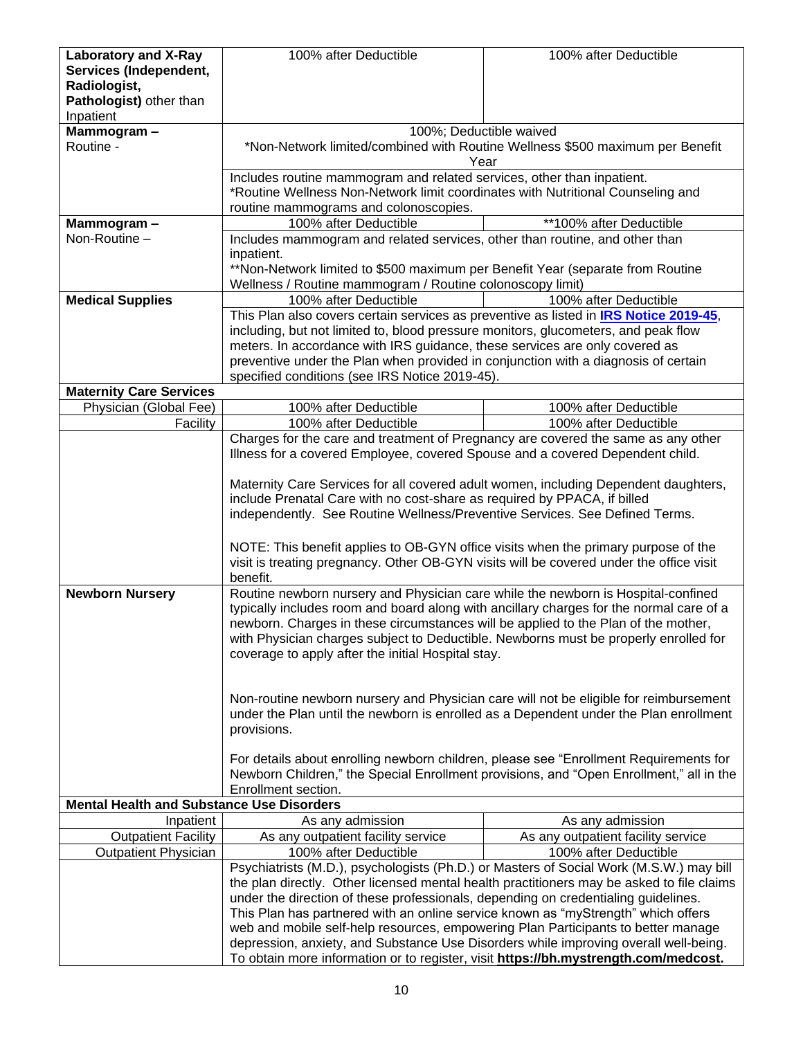| <b>Laboratory and X-Ray</b>                      | 100% after Deductible                                                                     | 100% after Deductible                                                         |
|--------------------------------------------------|-------------------------------------------------------------------------------------------|-------------------------------------------------------------------------------|
| Services (Independent,                           |                                                                                           |                                                                               |
| Radiologist,                                     |                                                                                           |                                                                               |
| Pathologist) other than                          |                                                                                           |                                                                               |
|                                                  |                                                                                           |                                                                               |
| Inpatient                                        |                                                                                           |                                                                               |
| Mammogram-                                       | 100%; Deductible waived                                                                   |                                                                               |
| Routine -                                        |                                                                                           | *Non-Network limited/combined with Routine Wellness \$500 maximum per Benefit |
|                                                  | Year                                                                                      |                                                                               |
|                                                  | Includes routine mammogram and related services, other than inpatient.                    |                                                                               |
|                                                  | *Routine Wellness Non-Network limit coordinates with Nutritional Counseling and           |                                                                               |
|                                                  | routine mammograms and colonoscopies.                                                     |                                                                               |
| Mammogram-                                       | 100% after Deductible                                                                     | **100% after Deductible                                                       |
| Non-Routine -                                    |                                                                                           |                                                                               |
|                                                  | Includes mammogram and related services, other than routine, and other than               |                                                                               |
|                                                  | inpatient.                                                                                |                                                                               |
|                                                  | **Non-Network limited to \$500 maximum per Benefit Year (separate from Routine            |                                                                               |
|                                                  | Wellness / Routine mammogram / Routine colonoscopy limit)                                 |                                                                               |
| <b>Medical Supplies</b>                          | 100% after Deductible                                                                     | 100% after Deductible                                                         |
|                                                  | This Plan also covers certain services as preventive as listed in IRS Notice 2019-45,     |                                                                               |
|                                                  | including, but not limited to, blood pressure monitors, glucometers, and peak flow        |                                                                               |
|                                                  | meters. In accordance with IRS guidance, these services are only covered as               |                                                                               |
|                                                  |                                                                                           |                                                                               |
|                                                  | preventive under the Plan when provided in conjunction with a diagnosis of certain        |                                                                               |
|                                                  | specified conditions (see IRS Notice 2019-45).                                            |                                                                               |
| <b>Maternity Care Services</b>                   |                                                                                           |                                                                               |
| Physician (Global Fee)                           | 100% after Deductible                                                                     | 100% after Deductible                                                         |
| Facility                                         | 100% after Deductible                                                                     | 100% after Deductible                                                         |
|                                                  | Charges for the care and treatment of Pregnancy are covered the same as any other         |                                                                               |
|                                                  | Illness for a covered Employee, covered Spouse and a covered Dependent child.             |                                                                               |
|                                                  |                                                                                           |                                                                               |
|                                                  | Maternity Care Services for all covered adult women, including Dependent daughters,       |                                                                               |
|                                                  |                                                                                           |                                                                               |
|                                                  | include Prenatal Care with no cost-share as required by PPACA, if billed                  |                                                                               |
|                                                  | independently. See Routine Wellness/Preventive Services. See Defined Terms.               |                                                                               |
|                                                  |                                                                                           |                                                                               |
|                                                  | NOTE: This benefit applies to OB-GYN office visits when the primary purpose of the        |                                                                               |
|                                                  | visit is treating pregnancy. Other OB-GYN visits will be covered under the office visit   |                                                                               |
|                                                  | benefit.                                                                                  |                                                                               |
| <b>Newborn Nursery</b>                           | Routine newborn nursery and Physician care while the newborn is Hospital-confined         |                                                                               |
|                                                  | typically includes room and board along with ancillary charges for the normal care of a   |                                                                               |
|                                                  |                                                                                           |                                                                               |
|                                                  | newborn. Charges in these circumstances will be applied to the Plan of the mother,        |                                                                               |
|                                                  | with Physician charges subject to Deductible. Newborns must be properly enrolled for      |                                                                               |
|                                                  | coverage to apply after the initial Hospital stay.                                        |                                                                               |
|                                                  |                                                                                           |                                                                               |
|                                                  |                                                                                           |                                                                               |
|                                                  | Non-routine newborn nursery and Physician care will not be eligible for reimbursement     |                                                                               |
|                                                  | under the Plan until the newborn is enrolled as a Dependent under the Plan enrollment     |                                                                               |
|                                                  | provisions.                                                                               |                                                                               |
|                                                  |                                                                                           |                                                                               |
|                                                  |                                                                                           |                                                                               |
|                                                  | For details about enrolling newborn children, please see "Enrollment Requirements for     |                                                                               |
|                                                  | Newborn Children," the Special Enrollment provisions, and "Open Enrollment," all in the   |                                                                               |
|                                                  | Enrollment section.                                                                       |                                                                               |
| <b>Mental Health and Substance Use Disorders</b> |                                                                                           |                                                                               |
| Inpatient                                        | As any admission                                                                          | As any admission                                                              |
| <b>Outpatient Facility</b>                       | As any outpatient facility service                                                        | As any outpatient facility service                                            |
| <b>Outpatient Physician</b>                      | 100% after Deductible                                                                     | 100% after Deductible                                                         |
|                                                  |                                                                                           |                                                                               |
|                                                  | Psychiatrists (M.D.), psychologists (Ph.D.) or Masters of Social Work (M.S.W.) may bill   |                                                                               |
|                                                  | the plan directly. Other licensed mental health practitioners may be asked to file claims |                                                                               |
|                                                  | under the direction of these professionals, depending on credentialing guidelines.        |                                                                               |
|                                                  | This Plan has partnered with an online service known as "myStrength" which offers         |                                                                               |
|                                                  | web and mobile self-help resources, empowering Plan Participants to better manage         |                                                                               |
|                                                  | depression, anxiety, and Substance Use Disorders while improving overall well-being.      |                                                                               |
|                                                  | To obtain more information or to register, visit https://bh.mystrength.com/medcost.       |                                                                               |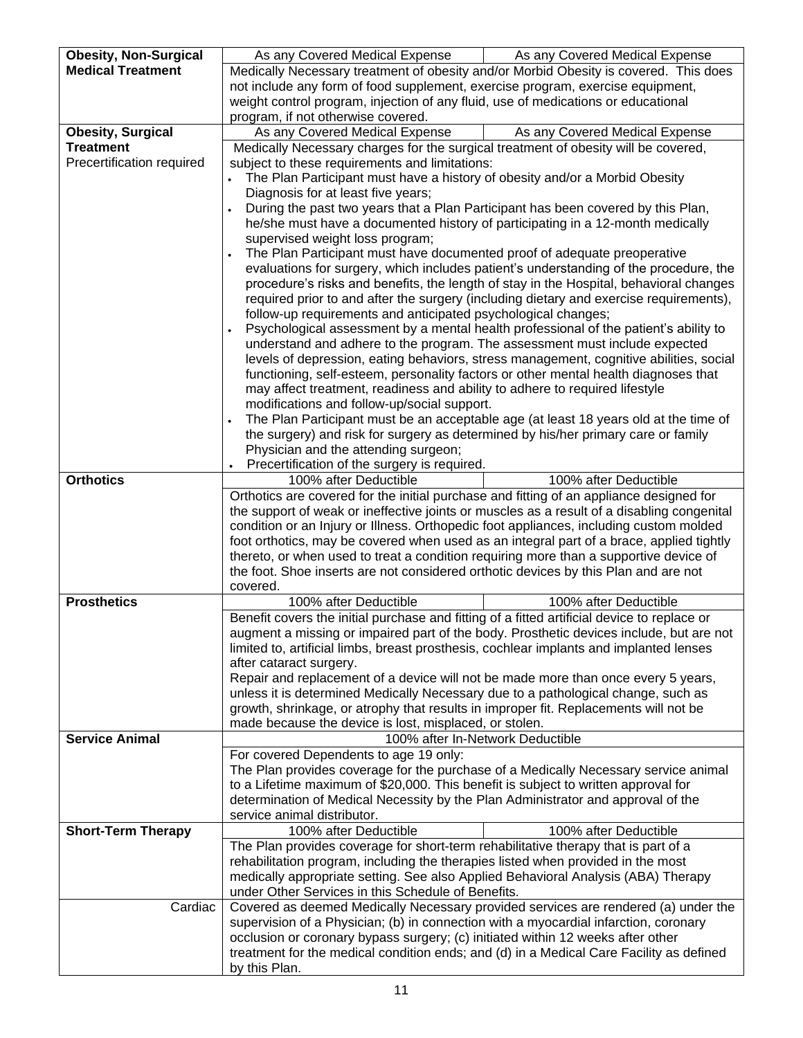| <b>Obesity, Non-Surgical</b> | As any Covered Medical Expense                                                                  | As any Covered Medical Expense                                                         |
|------------------------------|-------------------------------------------------------------------------------------------------|----------------------------------------------------------------------------------------|
| <b>Medical Treatment</b>     | Medically Necessary treatment of obesity and/or Morbid Obesity is covered. This does            |                                                                                        |
|                              | not include any form of food supplement, exercise program, exercise equipment,                  |                                                                                        |
|                              | weight control program, injection of any fluid, use of medications or educational               |                                                                                        |
|                              | program, if not otherwise covered.                                                              |                                                                                        |
| <b>Obesity, Surgical</b>     | As any Covered Medical Expense                                                                  | As any Covered Medical Expense                                                         |
| <b>Treatment</b>             | Medically Necessary charges for the surgical treatment of obesity will be covered,              |                                                                                        |
| Precertification required    | subject to these requirements and limitations:                                                  |                                                                                        |
|                              | The Plan Participant must have a history of obesity and/or a Morbid Obesity                     |                                                                                        |
|                              | Diagnosis for at least five years;                                                              |                                                                                        |
|                              | During the past two years that a Plan Participant has been covered by this Plan,                |                                                                                        |
|                              | he/she must have a documented history of participating in a 12-month medically                  |                                                                                        |
|                              | supervised weight loss program;                                                                 |                                                                                        |
|                              | The Plan Participant must have documented proof of adequate preoperative                        |                                                                                        |
|                              |                                                                                                 | evaluations for surgery, which includes patient's understanding of the procedure, the  |
|                              |                                                                                                 | procedure's risks and benefits, the length of stay in the Hospital, behavioral changes |
|                              |                                                                                                 | required prior to and after the surgery (including dietary and exercise requirements), |
|                              | follow-up requirements and anticipated psychological changes;                                   |                                                                                        |
|                              |                                                                                                 | Psychological assessment by a mental health professional of the patient's ability to   |
|                              | understand and adhere to the program. The assessment must include expected                      |                                                                                        |
|                              |                                                                                                 | levels of depression, eating behaviors, stress management, cognitive abilities, social |
|                              | functioning, self-esteem, personality factors or other mental health diagnoses that             |                                                                                        |
|                              | may affect treatment, readiness and ability to adhere to required lifestyle                     |                                                                                        |
|                              | modifications and follow-up/social support.                                                     |                                                                                        |
|                              |                                                                                                 | The Plan Participant must be an acceptable age (at least 18 years old at the time of   |
|                              | the surgery) and risk for surgery as determined by his/her primary care or family               |                                                                                        |
|                              | Physician and the attending surgeon;                                                            |                                                                                        |
|                              | Precertification of the surgery is required.                                                    |                                                                                        |
| <b>Orthotics</b>             | 100% after Deductible                                                                           | 100% after Deductible                                                                  |
|                              | Orthotics are covered for the initial purchase and fitting of an appliance designed for         |                                                                                        |
|                              | the support of weak or ineffective joints or muscles as a result of a disabling congenital      |                                                                                        |
|                              | condition or an Injury or Illness. Orthopedic foot appliances, including custom molded          |                                                                                        |
|                              | foot orthotics, may be covered when used as an integral part of a brace, applied tightly        |                                                                                        |
|                              | thereto, or when used to treat a condition requiring more than a supportive device of           |                                                                                        |
|                              | the foot. Shoe inserts are not considered orthotic devices by this Plan and are not<br>covered. |                                                                                        |
| <b>Prosthetics</b>           | 100% after Deductible                                                                           | 100% after Deductible                                                                  |
|                              | Benefit covers the initial purchase and fitting of a fitted artificial device to replace or     |                                                                                        |
|                              | augment a missing or impaired part of the body. Prosthetic devices include, but are not         |                                                                                        |
|                              | limited to, artificial limbs, breast prosthesis, cochlear implants and implanted lenses         |                                                                                        |
|                              | after cataract surgery.                                                                         |                                                                                        |
|                              | Repair and replacement of a device will not be made more than once every 5 years,               |                                                                                        |
|                              | unless it is determined Medically Necessary due to a pathological change, such as               |                                                                                        |
|                              | growth, shrinkage, or atrophy that results in improper fit. Replacements will not be            |                                                                                        |
|                              | made because the device is lost, misplaced, or stolen.                                          |                                                                                        |
| <b>Service Animal</b>        |                                                                                                 | 100% after In-Network Deductible                                                       |
|                              | For covered Dependents to age 19 only:                                                          |                                                                                        |
|                              | The Plan provides coverage for the purchase of a Medically Necessary service animal             |                                                                                        |
|                              | to a Lifetime maximum of \$20,000. This benefit is subject to written approval for              |                                                                                        |
|                              | determination of Medical Necessity by the Plan Administrator and approval of the                |                                                                                        |
|                              | service animal distributor.                                                                     |                                                                                        |
| <b>Short-Term Therapy</b>    | 100% after Deductible                                                                           | 100% after Deductible                                                                  |
|                              | The Plan provides coverage for short-term rehabilitative therapy that is part of a              |                                                                                        |
|                              | rehabilitation program, including the therapies listed when provided in the most                |                                                                                        |
|                              | medically appropriate setting. See also Applied Behavioral Analysis (ABA) Therapy               |                                                                                        |
|                              | under Other Services in this Schedule of Benefits.                                              |                                                                                        |
| Cardiac                      | Covered as deemed Medically Necessary provided services are rendered (a) under the              |                                                                                        |
|                              | supervision of a Physician; (b) in connection with a myocardial infarction, coronary            |                                                                                        |
|                              | occlusion or coronary bypass surgery; (c) initiated within 12 weeks after other                 |                                                                                        |
|                              | treatment for the medical condition ends; and (d) in a Medical Care Facility as defined         |                                                                                        |
|                              | by this Plan.                                                                                   |                                                                                        |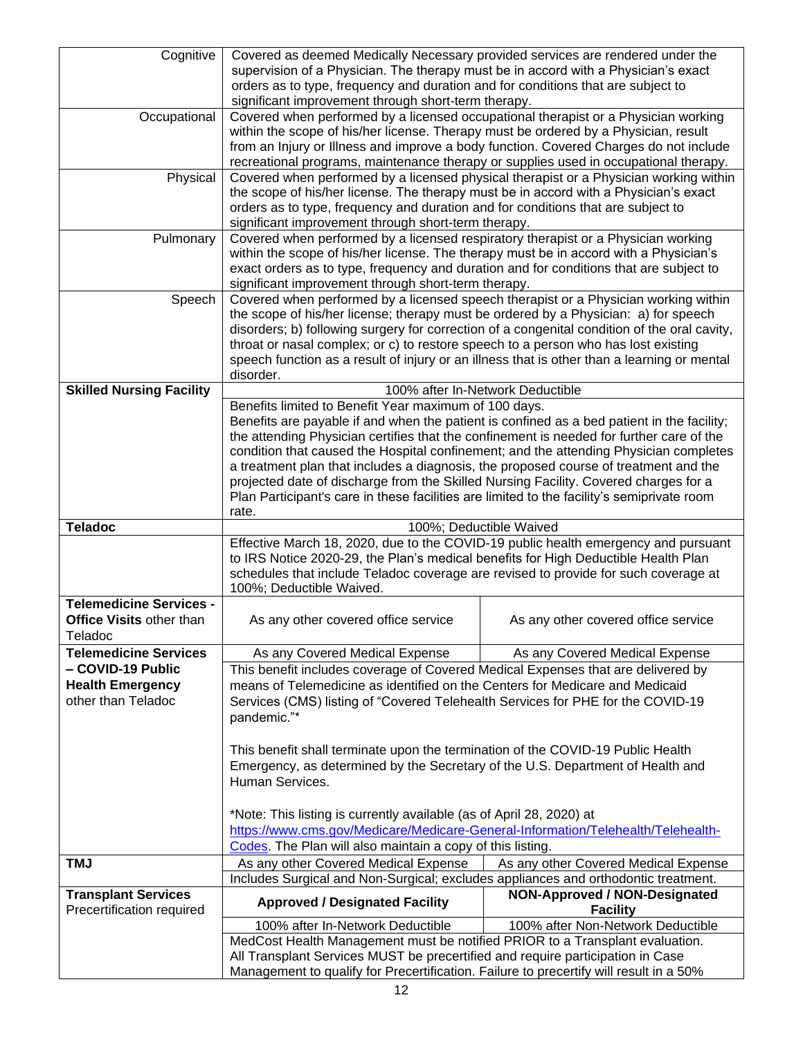| Cognitive                                               | Covered as deemed Medically Necessary provided services are rendered under the                                  |                                                                                              |
|---------------------------------------------------------|-----------------------------------------------------------------------------------------------------------------|----------------------------------------------------------------------------------------------|
|                                                         | supervision of a Physician. The therapy must be in accord with a Physician's exact                              |                                                                                              |
|                                                         | orders as to type, frequency and duration and for conditions that are subject to                                |                                                                                              |
|                                                         | significant improvement through short-term therapy.                                                             |                                                                                              |
| Occupational                                            | Covered when performed by a licensed occupational therapist or a Physician working                              |                                                                                              |
|                                                         | within the scope of his/her license. Therapy must be ordered by a Physician, result                             |                                                                                              |
|                                                         | from an Injury or Illness and improve a body function. Covered Charges do not include                           |                                                                                              |
|                                                         | recreational programs, maintenance therapy or supplies used in occupational therapy.                            |                                                                                              |
| Physical                                                |                                                                                                                 | Covered when performed by a licensed physical therapist or a Physician working within        |
|                                                         | the scope of his/her license. The therapy must be in accord with a Physician's exact                            |                                                                                              |
|                                                         | orders as to type, frequency and duration and for conditions that are subject to                                |                                                                                              |
|                                                         | significant improvement through short-term therapy.                                                             |                                                                                              |
| Pulmonary                                               | Covered when performed by a licensed respiratory therapist or a Physician working                               |                                                                                              |
|                                                         | within the scope of his/her license. The therapy must be in accord with a Physician's                           |                                                                                              |
|                                                         | exact orders as to type, frequency and duration and for conditions that are subject to                          |                                                                                              |
|                                                         | significant improvement through short-term therapy.                                                             |                                                                                              |
| Speech                                                  | Covered when performed by a licensed speech therapist or a Physician working within                             |                                                                                              |
|                                                         | the scope of his/her license; therapy must be ordered by a Physician: a) for speech                             |                                                                                              |
|                                                         |                                                                                                                 | disorders; b) following surgery for correction of a congenital condition of the oral cavity, |
|                                                         | throat or nasal complex; or c) to restore speech to a person who has lost existing                              |                                                                                              |
|                                                         | speech function as a result of injury or an illness that is other than a learning or mental                     |                                                                                              |
|                                                         | disorder.                                                                                                       |                                                                                              |
| <b>Skilled Nursing Facility</b>                         |                                                                                                                 | 100% after In-Network Deductible                                                             |
|                                                         | Benefits limited to Benefit Year maximum of 100 days.                                                           |                                                                                              |
|                                                         | Benefits are payable if and when the patient is confined as a bed patient in the facility;                      |                                                                                              |
|                                                         | the attending Physician certifies that the confinement is needed for further care of the                        |                                                                                              |
|                                                         |                                                                                                                 | condition that caused the Hospital confinement; and the attending Physician completes        |
|                                                         | a treatment plan that includes a diagnosis, the proposed course of treatment and the                            |                                                                                              |
|                                                         | projected date of discharge from the Skilled Nursing Facility. Covered charges for a                            |                                                                                              |
|                                                         | Plan Participant's care in these facilities are limited to the facility's semiprivate room<br>rate.             |                                                                                              |
|                                                         |                                                                                                                 |                                                                                              |
|                                                         |                                                                                                                 |                                                                                              |
| <b>Teladoc</b>                                          |                                                                                                                 | 100%; Deductible Waived                                                                      |
|                                                         |                                                                                                                 | Effective March 18, 2020, due to the COVID-19 public health emergency and pursuant           |
|                                                         | to IRS Notice 2020-29, the Plan's medical benefits for High Deductible Health Plan                              |                                                                                              |
|                                                         | schedules that include Teladoc coverage are revised to provide for such coverage at<br>100%; Deductible Waived. |                                                                                              |
| <b>Telemedicine Services -</b>                          |                                                                                                                 |                                                                                              |
| <b>Office Visits other than</b>                         | As any other covered office service                                                                             | As any other covered office service                                                          |
| I eladoc                                                |                                                                                                                 |                                                                                              |
| <b>Telemedicine Services</b>                            | As any Covered Medical Expense                                                                                  | As any Covered Medical Expense                                                               |
| - COVID-19 Public                                       | This benefit includes coverage of Covered Medical Expenses that are delivered by                                |                                                                                              |
| <b>Health Emergency</b>                                 | means of Telemedicine as identified on the Centers for Medicare and Medicaid                                    |                                                                                              |
| other than Teladoc                                      |                                                                                                                 |                                                                                              |
|                                                         | Services (CMS) listing of "Covered Telehealth Services for PHE for the COVID-19<br>pandemic."*                  |                                                                                              |
|                                                         |                                                                                                                 |                                                                                              |
|                                                         |                                                                                                                 |                                                                                              |
|                                                         | This benefit shall terminate upon the termination of the COVID-19 Public Health                                 |                                                                                              |
|                                                         | Emergency, as determined by the Secretary of the U.S. Department of Health and                                  |                                                                                              |
|                                                         | Human Services.                                                                                                 |                                                                                              |
|                                                         |                                                                                                                 |                                                                                              |
|                                                         | *Note: This listing is currently available (as of April 28, 2020) at                                            |                                                                                              |
|                                                         | https://www.cms.gov/Medicare/Medicare-General-Information/Telehealth/Telehealth-                                |                                                                                              |
|                                                         | Codes. The Plan will also maintain a copy of this listing.                                                      |                                                                                              |
| <b>TMJ</b>                                              | As any other Covered Medical Expense                                                                            | As any other Covered Medical Expense                                                         |
|                                                         | Includes Surgical and Non-Surgical; excludes appliances and orthodontic treatment.                              | <b>NON-Approved / NON-Designated</b>                                                         |
| <b>Transplant Services</b><br>Precertification required | <b>Approved / Designated Facility</b>                                                                           | <b>Facility</b>                                                                              |
|                                                         | 100% after In-Network Deductible                                                                                | 100% after Non-Network Deductible                                                            |
|                                                         | MedCost Health Management must be notified PRIOR to a Transplant evaluation.                                    |                                                                                              |
|                                                         | All Transplant Services MUST be precertified and require participation in Case                                  |                                                                                              |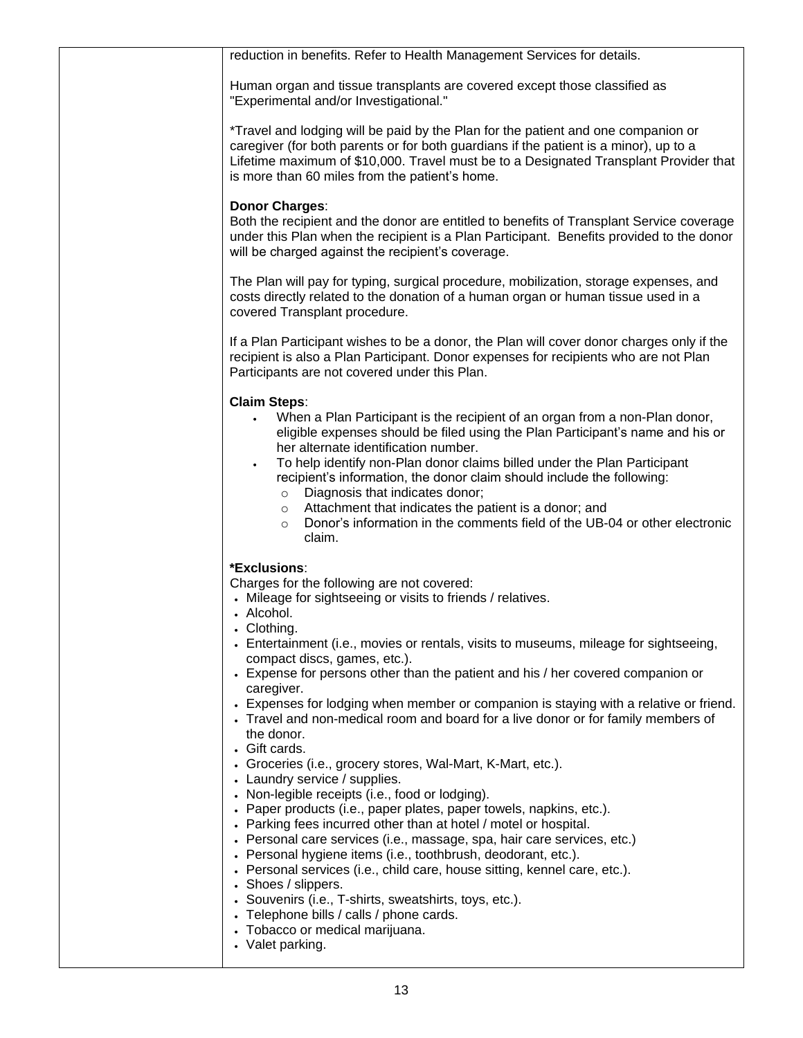| reduction in benefits. Refer to Health Management Services for details.                                                                                                                                                                                                                                                                                                                                                                                                                                                                                                                                                                                                                                                                                                                                                                                                                                                                                                                                                                                                                                                                                                                                                                                                                                  |
|----------------------------------------------------------------------------------------------------------------------------------------------------------------------------------------------------------------------------------------------------------------------------------------------------------------------------------------------------------------------------------------------------------------------------------------------------------------------------------------------------------------------------------------------------------------------------------------------------------------------------------------------------------------------------------------------------------------------------------------------------------------------------------------------------------------------------------------------------------------------------------------------------------------------------------------------------------------------------------------------------------------------------------------------------------------------------------------------------------------------------------------------------------------------------------------------------------------------------------------------------------------------------------------------------------|
| Human organ and tissue transplants are covered except those classified as<br>"Experimental and/or Investigational."                                                                                                                                                                                                                                                                                                                                                                                                                                                                                                                                                                                                                                                                                                                                                                                                                                                                                                                                                                                                                                                                                                                                                                                      |
| *Travel and lodging will be paid by the Plan for the patient and one companion or<br>caregiver (for both parents or for both guardians if the patient is a minor), up to a<br>Lifetime maximum of \$10,000. Travel must be to a Designated Transplant Provider that<br>is more than 60 miles from the patient's home.                                                                                                                                                                                                                                                                                                                                                                                                                                                                                                                                                                                                                                                                                                                                                                                                                                                                                                                                                                                    |
| <b>Donor Charges:</b><br>Both the recipient and the donor are entitled to benefits of Transplant Service coverage<br>under this Plan when the recipient is a Plan Participant. Benefits provided to the donor<br>will be charged against the recipient's coverage.                                                                                                                                                                                                                                                                                                                                                                                                                                                                                                                                                                                                                                                                                                                                                                                                                                                                                                                                                                                                                                       |
| The Plan will pay for typing, surgical procedure, mobilization, storage expenses, and<br>costs directly related to the donation of a human organ or human tissue used in a<br>covered Transplant procedure.                                                                                                                                                                                                                                                                                                                                                                                                                                                                                                                                                                                                                                                                                                                                                                                                                                                                                                                                                                                                                                                                                              |
| If a Plan Participant wishes to be a donor, the Plan will cover donor charges only if the<br>recipient is also a Plan Participant. Donor expenses for recipients who are not Plan<br>Participants are not covered under this Plan.                                                                                                                                                                                                                                                                                                                                                                                                                                                                                                                                                                                                                                                                                                                                                                                                                                                                                                                                                                                                                                                                       |
| <b>Claim Steps:</b><br>When a Plan Participant is the recipient of an organ from a non-Plan donor,<br>$\bullet$<br>eligible expenses should be filed using the Plan Participant's name and his or<br>her alternate identification number.<br>To help identify non-Plan donor claims billed under the Plan Participant<br>recipient's information, the donor claim should include the following:<br>Diagnosis that indicates donor;<br>$\circ$<br>Attachment that indicates the patient is a donor; and<br>$\circ$<br>Donor's information in the comments field of the UB-04 or other electronic<br>O<br>claim.                                                                                                                                                                                                                                                                                                                                                                                                                                                                                                                                                                                                                                                                                           |
| *Exclusions:<br>Charges for the following are not covered:<br>• Mileage for sightseeing or visits to friends / relatives.<br>• Alcohol.<br>• Clothing.<br>• Entertainment (i.e., movies or rentals, visits to museums, mileage for sightseeing,<br>compact discs, games, etc.).<br>• Expense for persons other than the patient and his / her covered companion or<br>caregiver.<br>• Expenses for lodging when member or companion is staying with a relative or friend.<br>• Travel and non-medical room and board for a live donor or for family members of<br>the donor.<br>• Gift cards.<br>• Groceries (i.e., grocery stores, Wal-Mart, K-Mart, etc.).<br>• Laundry service / supplies.<br>• Non-legible receipts (i.e., food or lodging).<br>• Paper products (i.e., paper plates, paper towels, napkins, etc.).<br>• Parking fees incurred other than at hotel / motel or hospital.<br>• Personal care services (i.e., massage, spa, hair care services, etc.)<br>• Personal hygiene items (i.e., toothbrush, deodorant, etc.).<br>• Personal services (i.e., child care, house sitting, kennel care, etc.).<br>• Shoes / slippers.<br>• Souvenirs (i.e., T-shirts, sweatshirts, toys, etc.).<br>• Telephone bills / calls / phone cards.<br>• Tobacco or medical marijuana.<br>• Valet parking. |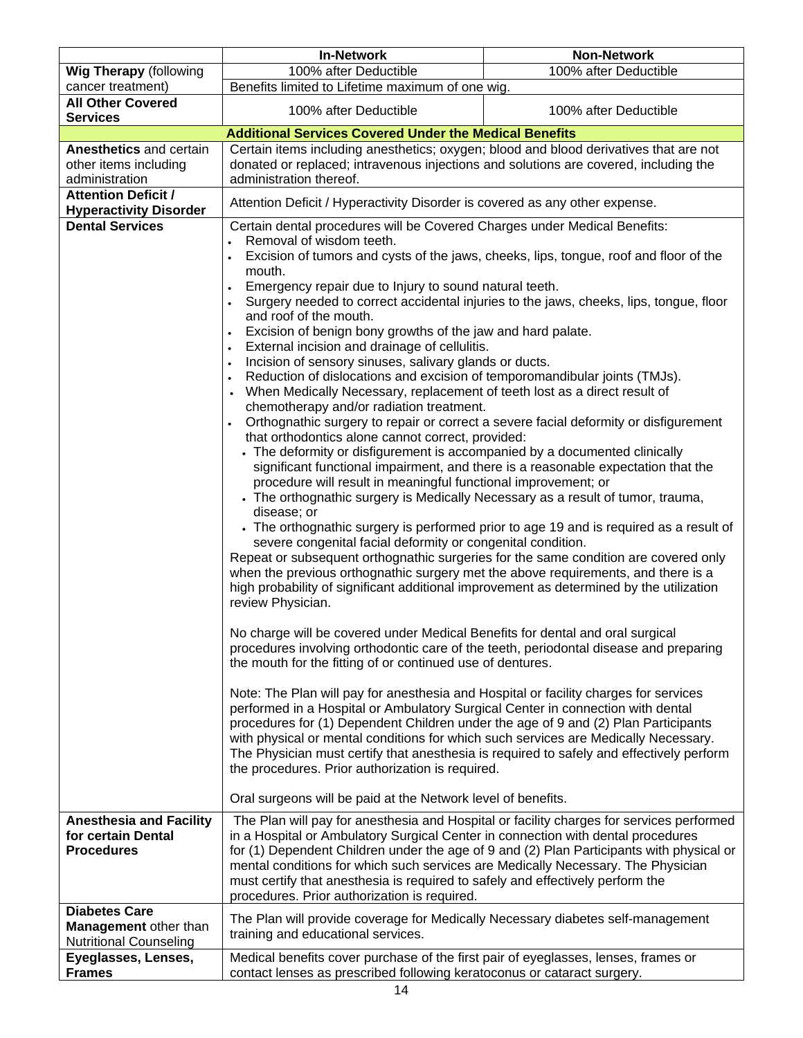|                                                                                | <b>In-Network</b>                                                                                                                                                                                                                                                                                                                                                                                                                                                                                                                                                                                                                                                                                                                                                                                                                                                                                                                                                                                                                                                                                                                                                                                                                                                                                                                                                                                                                                                                                                                                                                                                                                                                                                                                                                                                                                                                                                                                                                                                                                                                                                                                                                                                                                                                                                                                       | <b>Non-Network</b>                                                                       |  |
|--------------------------------------------------------------------------------|---------------------------------------------------------------------------------------------------------------------------------------------------------------------------------------------------------------------------------------------------------------------------------------------------------------------------------------------------------------------------------------------------------------------------------------------------------------------------------------------------------------------------------------------------------------------------------------------------------------------------------------------------------------------------------------------------------------------------------------------------------------------------------------------------------------------------------------------------------------------------------------------------------------------------------------------------------------------------------------------------------------------------------------------------------------------------------------------------------------------------------------------------------------------------------------------------------------------------------------------------------------------------------------------------------------------------------------------------------------------------------------------------------------------------------------------------------------------------------------------------------------------------------------------------------------------------------------------------------------------------------------------------------------------------------------------------------------------------------------------------------------------------------------------------------------------------------------------------------------------------------------------------------------------------------------------------------------------------------------------------------------------------------------------------------------------------------------------------------------------------------------------------------------------------------------------------------------------------------------------------------------------------------------------------------------------------------------------------------|------------------------------------------------------------------------------------------|--|
| <b>Wig Therapy (following</b>                                                  | 100% after Deductible                                                                                                                                                                                                                                                                                                                                                                                                                                                                                                                                                                                                                                                                                                                                                                                                                                                                                                                                                                                                                                                                                                                                                                                                                                                                                                                                                                                                                                                                                                                                                                                                                                                                                                                                                                                                                                                                                                                                                                                                                                                                                                                                                                                                                                                                                                                                   | 100% after Deductible                                                                    |  |
| cancer treatment)                                                              | Benefits limited to Lifetime maximum of one wig.                                                                                                                                                                                                                                                                                                                                                                                                                                                                                                                                                                                                                                                                                                                                                                                                                                                                                                                                                                                                                                                                                                                                                                                                                                                                                                                                                                                                                                                                                                                                                                                                                                                                                                                                                                                                                                                                                                                                                                                                                                                                                                                                                                                                                                                                                                        |                                                                                          |  |
| <b>All Other Covered</b><br><b>Services</b>                                    | 100% after Deductible                                                                                                                                                                                                                                                                                                                                                                                                                                                                                                                                                                                                                                                                                                                                                                                                                                                                                                                                                                                                                                                                                                                                                                                                                                                                                                                                                                                                                                                                                                                                                                                                                                                                                                                                                                                                                                                                                                                                                                                                                                                                                                                                                                                                                                                                                                                                   | 100% after Deductible                                                                    |  |
|                                                                                | <b>Additional Services Covered Under the Medical Benefits</b>                                                                                                                                                                                                                                                                                                                                                                                                                                                                                                                                                                                                                                                                                                                                                                                                                                                                                                                                                                                                                                                                                                                                                                                                                                                                                                                                                                                                                                                                                                                                                                                                                                                                                                                                                                                                                                                                                                                                                                                                                                                                                                                                                                                                                                                                                           |                                                                                          |  |
| <b>Anesthetics and certain</b><br>other items including<br>administration      | Certain items including anesthetics; oxygen; blood and blood derivatives that are not<br>donated or replaced; intravenous injections and solutions are covered, including the<br>administration thereof.                                                                                                                                                                                                                                                                                                                                                                                                                                                                                                                                                                                                                                                                                                                                                                                                                                                                                                                                                                                                                                                                                                                                                                                                                                                                                                                                                                                                                                                                                                                                                                                                                                                                                                                                                                                                                                                                                                                                                                                                                                                                                                                                                |                                                                                          |  |
| <b>Attention Deficit /</b><br><b>Hyperactivity Disorder</b>                    | Attention Deficit / Hyperactivity Disorder is covered as any other expense.                                                                                                                                                                                                                                                                                                                                                                                                                                                                                                                                                                                                                                                                                                                                                                                                                                                                                                                                                                                                                                                                                                                                                                                                                                                                                                                                                                                                                                                                                                                                                                                                                                                                                                                                                                                                                                                                                                                                                                                                                                                                                                                                                                                                                                                                             |                                                                                          |  |
| <b>Dental Services</b>                                                         | Certain dental procedures will be Covered Charges under Medical Benefits:<br>Removal of wisdom teeth.<br>Excision of tumors and cysts of the jaws, cheeks, lips, tongue, roof and floor of the<br>mouth.<br>Emergency repair due to Injury to sound natural teeth.<br>Surgery needed to correct accidental injuries to the jaws, cheeks, lips, tongue, floor<br>and roof of the mouth.<br>Excision of benign bony growths of the jaw and hard palate.<br>External incision and drainage of cellulitis.<br>$\bullet$<br>Incision of sensory sinuses, salivary glands or ducts.<br>$\bullet$<br>Reduction of dislocations and excision of temporomandibular joints (TMJs).<br>$\bullet$<br>When Medically Necessary, replacement of teeth lost as a direct result of<br>chemotherapy and/or radiation treatment.<br>Orthognathic surgery to repair or correct a severe facial deformity or disfigurement<br>that orthodontics alone cannot correct, provided:<br>• The deformity or disfigurement is accompanied by a documented clinically<br>significant functional impairment, and there is a reasonable expectation that the<br>procedure will result in meaningful functional improvement; or<br>• The orthognathic surgery is Medically Necessary as a result of tumor, trauma,<br>disease; or<br>• The orthognathic surgery is performed prior to age 19 and is required as a result of<br>severe congenital facial deformity or congenital condition.<br>Repeat or subsequent orthognathic surgeries for the same condition are covered only<br>when the previous orthognathic surgery met the above requirements, and there is a<br>high probability of significant additional improvement as determined by the utilization<br>review Physician.<br>No charge will be covered under Medical Benefits for dental and oral surgical<br>procedures involving orthodontic care of the teeth, periodontal disease and preparing<br>the mouth for the fitting of or continued use of dentures.<br>Note: The Plan will pay for anesthesia and Hospital or facility charges for services<br>performed in a Hospital or Ambulatory Surgical Center in connection with dental<br>procedures for (1) Dependent Children under the age of 9 and (2) Plan Participants<br>with physical or mental conditions for which such services are Medically Necessary. |                                                                                          |  |
|                                                                                | Oral surgeons will be paid at the Network level of benefits.                                                                                                                                                                                                                                                                                                                                                                                                                                                                                                                                                                                                                                                                                                                                                                                                                                                                                                                                                                                                                                                                                                                                                                                                                                                                                                                                                                                                                                                                                                                                                                                                                                                                                                                                                                                                                                                                                                                                                                                                                                                                                                                                                                                                                                                                                            |                                                                                          |  |
| <b>Anesthesia and Facility</b><br>for certain Dental<br><b>Procedures</b>      | in a Hospital or Ambulatory Surgical Center in connection with dental procedures<br>for (1) Dependent Children under the age of 9 and (2) Plan Participants with physical or<br>mental conditions for which such services are Medically Necessary. The Physician<br>must certify that anesthesia is required to safely and effectively perform the<br>procedures. Prior authorization is required.                                                                                                                                                                                                                                                                                                                                                                                                                                                                                                                                                                                                                                                                                                                                                                                                                                                                                                                                                                                                                                                                                                                                                                                                                                                                                                                                                                                                                                                                                                                                                                                                                                                                                                                                                                                                                                                                                                                                                      | The Plan will pay for anesthesia and Hospital or facility charges for services performed |  |
| <b>Diabetes Care</b><br>Management other than<br><b>Nutritional Counseling</b> | The Plan will provide coverage for Medically Necessary diabetes self-management<br>training and educational services.                                                                                                                                                                                                                                                                                                                                                                                                                                                                                                                                                                                                                                                                                                                                                                                                                                                                                                                                                                                                                                                                                                                                                                                                                                                                                                                                                                                                                                                                                                                                                                                                                                                                                                                                                                                                                                                                                                                                                                                                                                                                                                                                                                                                                                   |                                                                                          |  |
| Eyeglasses, Lenses,<br><b>Frames</b>                                           | Medical benefits cover purchase of the first pair of eyeglasses, lenses, frames or<br>contact lenses as prescribed following keratoconus or cataract surgery.                                                                                                                                                                                                                                                                                                                                                                                                                                                                                                                                                                                                                                                                                                                                                                                                                                                                                                                                                                                                                                                                                                                                                                                                                                                                                                                                                                                                                                                                                                                                                                                                                                                                                                                                                                                                                                                                                                                                                                                                                                                                                                                                                                                           |                                                                                          |  |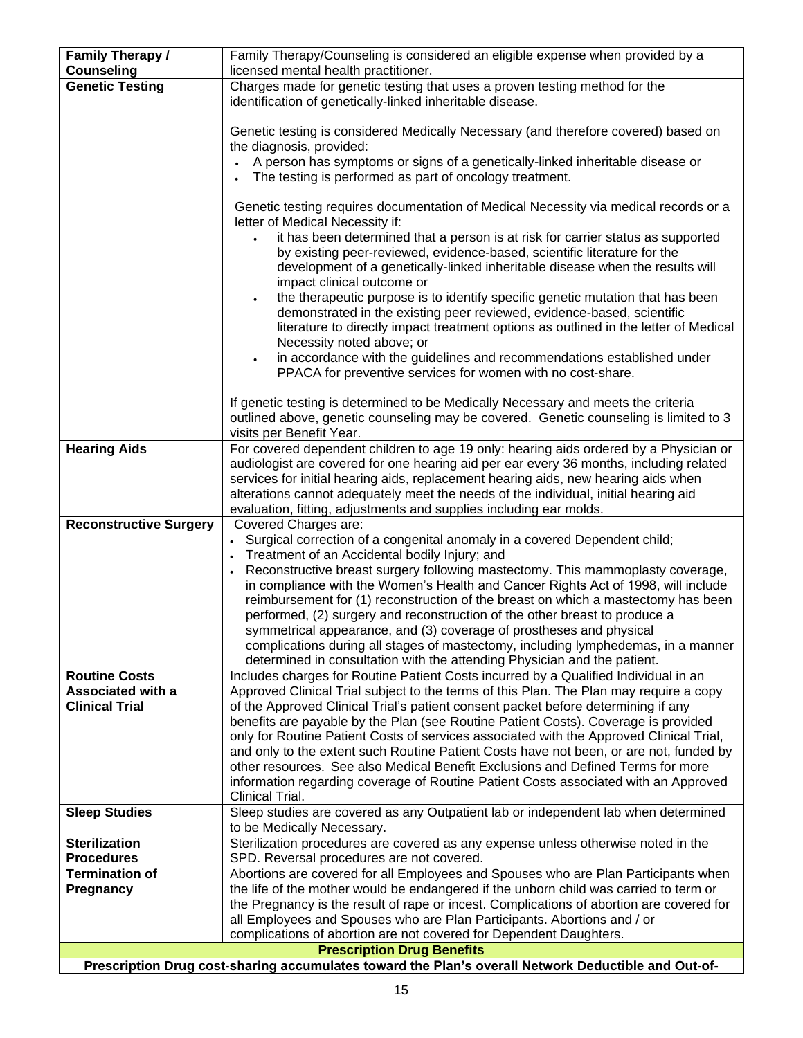| <b>Family Therapy /</b><br><b>Counseling</b>                                                        | Family Therapy/Counseling is considered an eligible expense when provided by a                                                                                                |  |  |
|-----------------------------------------------------------------------------------------------------|-------------------------------------------------------------------------------------------------------------------------------------------------------------------------------|--|--|
|                                                                                                     | licensed mental health practitioner.                                                                                                                                          |  |  |
| <b>Genetic Testing</b>                                                                              | Charges made for genetic testing that uses a proven testing method for the                                                                                                    |  |  |
|                                                                                                     | identification of genetically-linked inheritable disease.                                                                                                                     |  |  |
|                                                                                                     | Genetic testing is considered Medically Necessary (and therefore covered) based on                                                                                            |  |  |
|                                                                                                     | the diagnosis, provided:                                                                                                                                                      |  |  |
|                                                                                                     | A person has symptoms or signs of a genetically-linked inheritable disease or                                                                                                 |  |  |
|                                                                                                     | The testing is performed as part of oncology treatment.                                                                                                                       |  |  |
|                                                                                                     |                                                                                                                                                                               |  |  |
|                                                                                                     | Genetic testing requires documentation of Medical Necessity via medical records or a                                                                                          |  |  |
|                                                                                                     | letter of Medical Necessity if:                                                                                                                                               |  |  |
|                                                                                                     | it has been determined that a person is at risk for carrier status as supported                                                                                               |  |  |
|                                                                                                     | by existing peer-reviewed, evidence-based, scientific literature for the                                                                                                      |  |  |
|                                                                                                     | development of a genetically-linked inheritable disease when the results will                                                                                                 |  |  |
|                                                                                                     | impact clinical outcome or                                                                                                                                                    |  |  |
|                                                                                                     | the therapeutic purpose is to identify specific genetic mutation that has been<br>$\bullet$                                                                                   |  |  |
|                                                                                                     | demonstrated in the existing peer reviewed, evidence-based, scientific                                                                                                        |  |  |
|                                                                                                     | literature to directly impact treatment options as outlined in the letter of Medical<br>Necessity noted above; or                                                             |  |  |
|                                                                                                     | in accordance with the guidelines and recommendations established under                                                                                                       |  |  |
|                                                                                                     | PPACA for preventive services for women with no cost-share.                                                                                                                   |  |  |
|                                                                                                     |                                                                                                                                                                               |  |  |
|                                                                                                     | If genetic testing is determined to be Medically Necessary and meets the criteria                                                                                             |  |  |
|                                                                                                     | outlined above, genetic counseling may be covered. Genetic counseling is limited to 3                                                                                         |  |  |
|                                                                                                     | visits per Benefit Year.                                                                                                                                                      |  |  |
| <b>Hearing Aids</b>                                                                                 | For covered dependent children to age 19 only: hearing aids ordered by a Physician or                                                                                         |  |  |
|                                                                                                     | audiologist are covered for one hearing aid per ear every 36 months, including related                                                                                        |  |  |
|                                                                                                     | services for initial hearing aids, replacement hearing aids, new hearing aids when                                                                                            |  |  |
|                                                                                                     | alterations cannot adequately meet the needs of the individual, initial hearing aid                                                                                           |  |  |
|                                                                                                     | evaluation, fitting, adjustments and supplies including ear molds.                                                                                                            |  |  |
| <b>Reconstructive Surgery</b>                                                                       | Covered Charges are:<br>• Surgical correction of a congenital anomaly in a covered Dependent child;                                                                           |  |  |
|                                                                                                     | Treatment of an Accidental bodily Injury; and                                                                                                                                 |  |  |
|                                                                                                     | Reconstructive breast surgery following mastectomy. This mammoplasty coverage,                                                                                                |  |  |
|                                                                                                     | in compliance with the Women's Health and Cancer Rights Act of 1998, will include                                                                                             |  |  |
|                                                                                                     | reimbursement for (1) reconstruction of the breast on which a mastectomy has been                                                                                             |  |  |
|                                                                                                     | performed, (2) surgery and reconstruction of the other breast to produce a                                                                                                    |  |  |
|                                                                                                     | symmetrical appearance, and (3) coverage of prostheses and physical                                                                                                           |  |  |
|                                                                                                     | complications during all stages of mastectomy, including lymphedemas, in a manner                                                                                             |  |  |
|                                                                                                     | determined in consultation with the attending Physician and the patient.                                                                                                      |  |  |
| <b>Routine Costs</b>                                                                                | Includes charges for Routine Patient Costs incurred by a Qualified Individual in an                                                                                           |  |  |
| <b>Associated with a</b>                                                                            | Approved Clinical Trial subject to the terms of this Plan. The Plan may require a copy                                                                                        |  |  |
| <b>Clinical Trial</b>                                                                               | of the Approved Clinical Trial's patient consent packet before determining if any                                                                                             |  |  |
|                                                                                                     | benefits are payable by the Plan (see Routine Patient Costs). Coverage is provided<br>only for Routine Patient Costs of services associated with the Approved Clinical Trial, |  |  |
|                                                                                                     | and only to the extent such Routine Patient Costs have not been, or are not, funded by                                                                                        |  |  |
|                                                                                                     | other resources. See also Medical Benefit Exclusions and Defined Terms for more                                                                                               |  |  |
|                                                                                                     | information regarding coverage of Routine Patient Costs associated with an Approved                                                                                           |  |  |
|                                                                                                     | Clinical Trial.                                                                                                                                                               |  |  |
| <b>Sleep Studies</b>                                                                                | Sleep studies are covered as any Outpatient lab or independent lab when determined                                                                                            |  |  |
|                                                                                                     | to be Medically Necessary.                                                                                                                                                    |  |  |
| <b>Sterilization</b>                                                                                | Sterilization procedures are covered as any expense unless otherwise noted in the                                                                                             |  |  |
| <b>Procedures</b>                                                                                   | SPD. Reversal procedures are not covered.                                                                                                                                     |  |  |
| <b>Termination of</b>                                                                               | Abortions are covered for all Employees and Spouses who are Plan Participants when                                                                                            |  |  |
| Pregnancy                                                                                           | the life of the mother would be endangered if the unborn child was carried to term or                                                                                         |  |  |
|                                                                                                     | the Pregnancy is the result of rape or incest. Complications of abortion are covered for<br>all Employees and Spouses who are Plan Participants. Abortions and / or           |  |  |
|                                                                                                     | complications of abortion are not covered for Dependent Daughters.                                                                                                            |  |  |
| <b>Prescription Drug Benefits</b>                                                                   |                                                                                                                                                                               |  |  |
| Prescription Drug cost-sharing accumulates toward the Plan's overall Network Deductible and Out-of- |                                                                                                                                                                               |  |  |